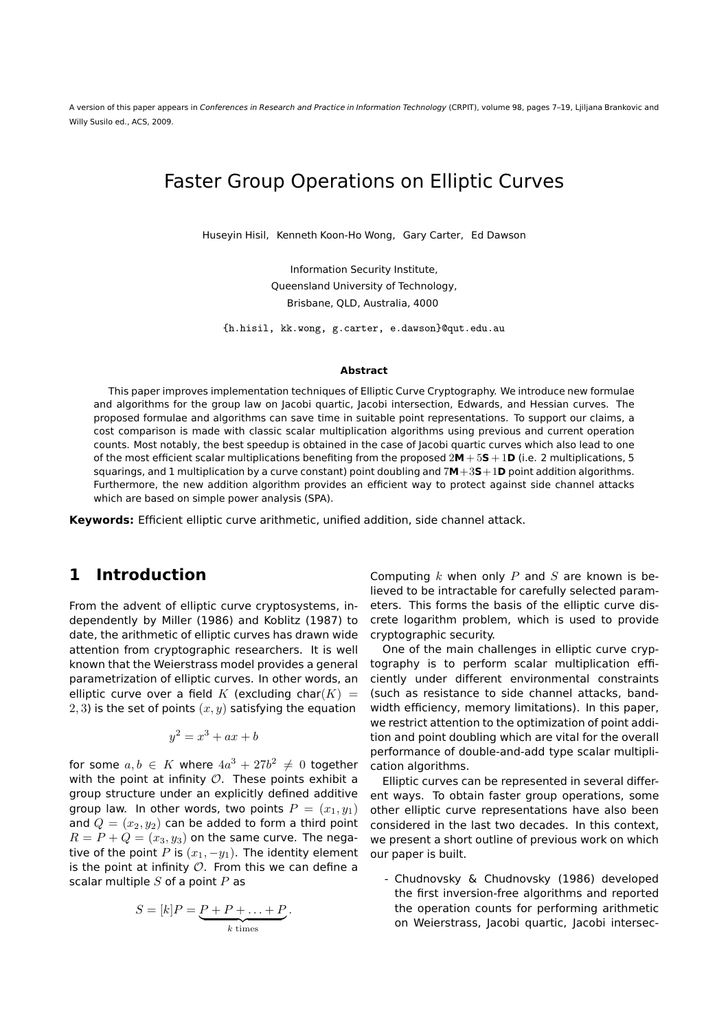A version of this paper appears in Conferences in Research and Practice in Information Technology (CRPIT), volume 98, pages 7–19, Ljiljana Brankovic and Willy Susilo ed., ACS, 2009.

## Faster Group Operations on Elliptic Curves

Huseyin Hisil, Kenneth Koon-Ho Wong, Gary Carter, Ed Dawson

Information Security Institute, Queensland University of Technology, Brisbane, QLD, Australia, 4000

{h.hisil, kk.wong, g.carter, e.dawson}@qut.edu.au

#### **Abstract**

This paper improves implementation techniques of Elliptic Curve Cryptography. We introduce new formulae and algorithms for the group law on Jacobi quartic, Jacobi intersection, Edwards, and Hessian curves. The proposed formulae and algorithms can save time in suitable point representations. To support our claims, a cost comparison is made with classic scalar multiplication algorithms using previous and current operation counts. Most notably, the best speedup is obtained in the case of Jacobi quartic curves which also lead to one of the most efficient scalar multiplications benefiting from the proposed 2**M** + 5**S**+ 1**D** (i.e. 2 multiplications, 5 squarings, and 1 multiplication by a curve constant) point doubling and 7**M**+3**S**+1**D** point addition algorithms. Furthermore, the new addition algorithm provides an efficient way to protect against side channel attacks which are based on simple power analysis (SPA).

**Keywords:** Efficient elliptic curve arithmetic, unified addition, side channel attack.

### **1 Introduction**

From the advent of elliptic curve cryptosystems, independently by Miller (1986) and Koblitz (1987) to date, the arithmetic of elliptic curves has drawn wide attention from cryptographic researchers. It is well known that the Weierstrass model provides a general parametrization of elliptic curves. In other words, an elliptic curve over a field K (excluding char $(K)$  = 2, 3) is the set of points  $(x, y)$  satisfying the equation

$$
y^2 = x^3 + ax + b
$$

for some  $a, b \in K$  where  $4a^3 + 27b^2 \neq 0$  together with the point at infinity  $\mathcal O$ . These points exhibit a group structure under an explicitly defined additive group law. In other words, two points  $P = (x_1, y_1)$ and  $Q = (x_2, y_2)$  can be added to form a third point  $R = P + Q = (x_3, y_3)$  on the same curve. The negative of the point P is  $(x_1, -y_1)$ . The identity element is the point at infinity  $O$ . From this we can define a scalar multiple  $S$  of a point  $P$  as

$$
S = [k]P = \underbrace{P + P + \ldots + P}_{k \text{ times}}.
$$

Computing  $k$  when only  $P$  and  $S$  are known is believed to be intractable for carefully selected parameters. This forms the basis of the elliptic curve discrete logarithm problem, which is used to provide cryptographic security.

One of the main challenges in elliptic curve cryptography is to perform scalar multiplication efficiently under different environmental constraints (such as resistance to side channel attacks, bandwidth efficiency, memory limitations). In this paper, we restrict attention to the optimization of point addition and point doubling which are vital for the overall performance of double-and-add type scalar multiplication algorithms.

Elliptic curves can be represented in several different ways. To obtain faster group operations, some other elliptic curve representations have also been considered in the last two decades. In this context, we present a short outline of previous work on which our paper is built.

- Chudnovsky & Chudnovsky (1986) developed the first inversion-free algorithms and reported the operation counts for performing arithmetic on Weierstrass, Jacobi quartic, Jacobi intersec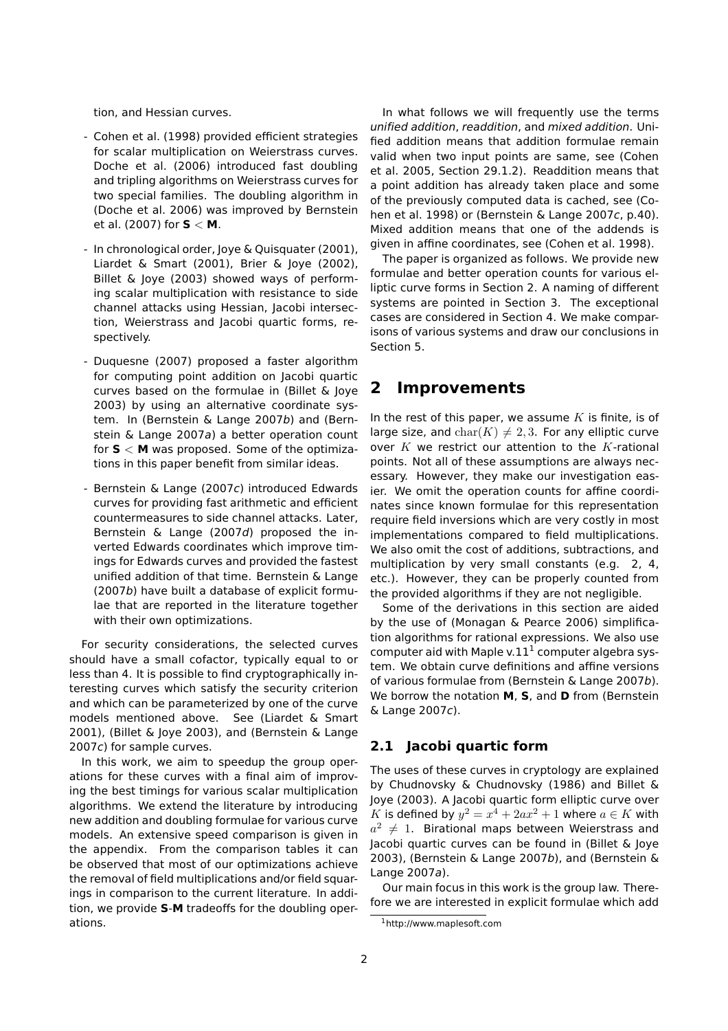tion, and Hessian curves.

- Cohen et al. (1998) provided efficient strategies for scalar multiplication on Weierstrass curves. Doche et al. (2006) introduced fast doubling and tripling algorithms on Weierstrass curves for two special families. The doubling algorithm in (Doche et al. 2006) was improved by Bernstein et al. (2007) for **S** < **M**.
- In chronological order, Joye & Quisquater (2001), Liardet & Smart (2001), Brier & Joye (2002), Billet & Joye (2003) showed ways of performing scalar multiplication with resistance to side channel attacks using Hessian, Jacobi intersection, Weierstrass and Jacobi quartic forms, respectively.
- Duquesne (2007) proposed a faster algorithm for computing point addition on Jacobi quartic curves based on the formulae in (Billet & Joye 2003) by using an alternative coordinate system. In (Bernstein & Lange 2007b) and (Bernstein & Lange 2007a) a better operation count for **S** < **M** was proposed. Some of the optimizations in this paper benefit from similar ideas.
- Bernstein & Lange (2007c) introduced Edwards curves for providing fast arithmetic and efficient countermeasures to side channel attacks. Later, Bernstein & Lange (2007d) proposed the inverted Edwards coordinates which improve timings for Edwards curves and provided the fastest unified addition of that time. Bernstein & Lange (2007b) have built a database of explicit formulae that are reported in the literature together with their own optimizations.

For security considerations, the selected curves should have a small cofactor, typically equal to or less than 4. It is possible to find cryptographically interesting curves which satisfy the security criterion and which can be parameterized by one of the curve models mentioned above. See (Liardet & Smart 2001), (Billet & Joye 2003), and (Bernstein & Lange 2007c) for sample curves.

In this work, we aim to speedup the group operations for these curves with a final aim of improving the best timings for various scalar multiplication algorithms. We extend the literature by introducing new addition and doubling formulae for various curve models. An extensive speed comparison is given in the appendix. From the comparison tables it can be observed that most of our optimizations achieve the removal of field multiplications and/or field squarings in comparison to the current literature. In addition, we provide **S**-**M** tradeoffs for the doubling operations.

In what follows we will frequently use the terms unified addition, readdition, and mixed addition. Unified addition means that addition formulae remain valid when two input points are same, see (Cohen et al. 2005, Section 29.1.2). Readdition means that a point addition has already taken place and some of the previously computed data is cached, see (Cohen et al. 1998) or (Bernstein & Lange 2007c, p.40). Mixed addition means that one of the addends is given in affine coordinates, see (Cohen et al. 1998).

The paper is organized as follows. We provide new formulae and better operation counts for various elliptic curve forms in Section 2. A naming of different systems are pointed in Section 3. The exceptional cases are considered in Section 4. We make comparisons of various systems and draw our conclusions in Section 5.

## **2 Improvements**

In the rest of this paper, we assume  $K$  is finite, is of large size, and  $char(K) \neq 2, 3$ . For any elliptic curve over  $K$  we restrict our attention to the K-rational points. Not all of these assumptions are always necessary. However, they make our investigation easier. We omit the operation counts for affine coordinates since known formulae for this representation require field inversions which are very costly in most implementations compared to field multiplications. We also omit the cost of additions, subtractions, and multiplication by very small constants (e.g. 2, 4, etc.). However, they can be properly counted from the provided algorithms if they are not negligible.

Some of the derivations in this section are aided by the use of (Monagan & Pearce 2006) simplification algorithms for rational expressions. We also use computer aid with Maple v. $11^1$  computer algebra system. We obtain curve definitions and affine versions of various formulae from (Bernstein & Lange 2007b). We borrow the notation **M**, **S**, and **D** from (Bernstein & Lange 2007c).

### **2.1 Jacobi quartic form**

The uses of these curves in cryptology are explained by Chudnovsky & Chudnovsky (1986) and Billet & Joye (2003). A Jacobi quartic form elliptic curve over K is defined by  $y^2 = x^4 + 2ax^2 + 1$  where  $a \in K$  with  $a^2\neq 1$ . Birational maps between Weierstrass and Jacobi quartic curves can be found in (Billet & Joye 2003), (Bernstein & Lange 2007b), and (Bernstein & Lange 2007a).

Our main focus in this work is the group law. Therefore we are interested in explicit formulae which add

<sup>1</sup>http://www.maplesoft.com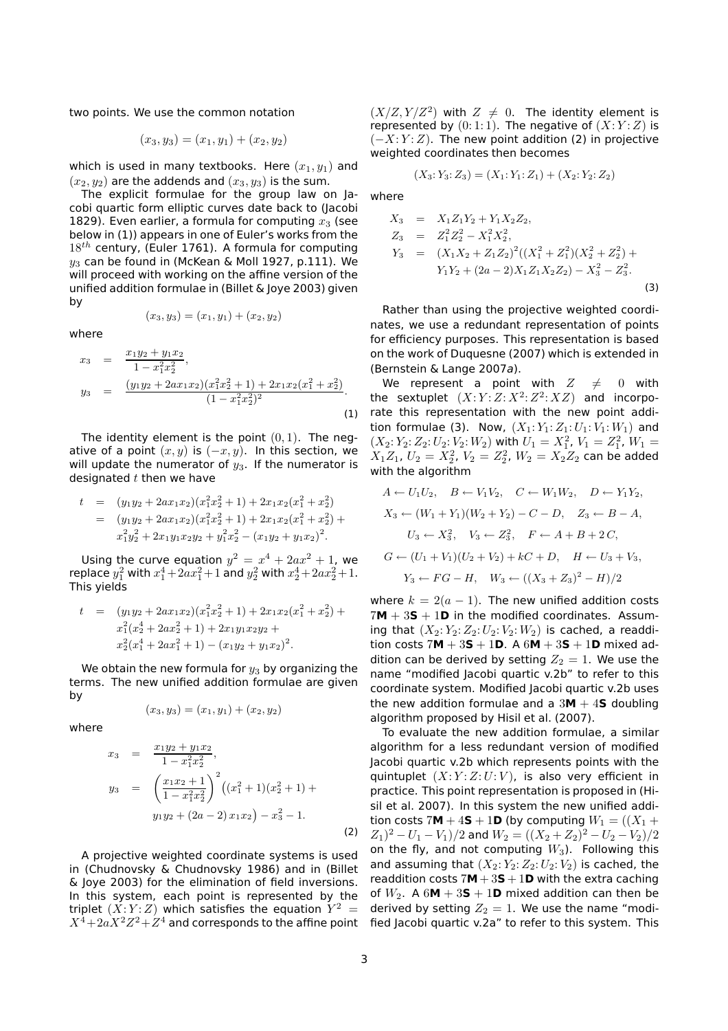two points. We use the common notation

$$
(x_3, y_3) = (x_1, y_1) + (x_2, y_2)
$$

which is used in many textbooks. Here  $(x_1, y_1)$  and  $(x_2, y_2)$  are the addends and  $(x_3, y_3)$  is the sum.

The explicit formulae for the group law on Jacobi quartic form elliptic curves date back to (Jacobi 1829). Even earlier, a formula for computing  $x_3$  (see below in (1)) appears in one of Euler's works from the  $18^{th}$  century, (Euler 1761). A formula for computing  $y_3$  can be found in (McKean & Moll 1927, p.111). We will proceed with working on the affine version of the unified addition formulae in (Billet & Joye 2003) given by

$$
(x_3, y_3) = (x_1, y_1) + (x_2, y_2)
$$

where

$$
x_3 = \frac{x_1y_2 + y_1x_2}{1 - x_1^2x_2^2},
$$
  
\n
$$
y_3 = \frac{(y_1y_2 + 2ax_1x_2)(x_1^2x_2^2 + 1) + 2x_1x_2(x_1^2 + x_2^2)}{(1 - x_1^2x_2^2)^2}.
$$
\n(1)

The identity element is the point  $(0, 1)$ . The negative of a point  $(x, y)$  is  $(-x, y)$ . In this section, we will update the numerator of  $y_3$ . If the numerator is designated  $t$  then we have

$$
t = (y_1y_2 + 2ax_1x_2)(x_1^2x_2^2 + 1) + 2x_1x_2(x_1^2 + x_2^2)
$$
  
= 
$$
(y_1y_2 + 2ax_1x_2)(x_1^2x_2^2 + 1) + 2x_1x_2(x_1^2 + x_2^2) + x_1^2y_2^2 + 2x_1y_1x_2y_2 + y_1^2x_2^2 - (x_1y_2 + y_1x_2)^2.
$$

Using the curve equation  $y^2 = x^4 + 2ax^2 + 1$ , we replace  $y_1^2$  with  $x_1^4 + 2ax_1^2 + 1$  and  $y_2^2$  with  $x_2^4 + 2ax_2^2 + 1$ . This yields

$$
t = (y_1y_2 + 2ax_1x_2)(x_1^2x_2^2 + 1) + 2x_1x_2(x_1^2 + x_2^2) +
$$
  
\n
$$
x_1^2(x_2^4 + 2ax_2^2 + 1) + 2x_1y_1x_2y_2 +
$$
  
\n
$$
x_2^2(x_1^4 + 2ax_1^2 + 1) - (x_1y_2 + y_1x_2)^2.
$$

We obtain the new formula for  $y_3$  by organizing the terms. The new unified addition formulae are given by

$$
(x_3, y_3) = (x_1, y_1) + (x_2, y_2)
$$

where

$$
x_3 = \frac{x_1y_2 + y_1x_2}{1 - x_1^2x_2^2},
$$
  
\n
$$
y_3 = \left(\frac{x_1x_2 + 1}{1 - x_1^2x_2^2}\right)^2 \left((x_1^2 + 1)(x_2^2 + 1) + y_1y_2 + (2a - 2)x_1x_2\right) - x_3^2 - 1.
$$
\n
$$
(2)
$$

A projective weighted coordinate systems is used in (Chudnovsky & Chudnovsky 1986) and in (Billet & Joye 2003) for the elimination of field inversions. In this system, each point is represented by the triplet  $(X:Y:Z)$  which satisfies the equation  $\overline{Y^2} =$  $X^4\!+\!2a\overset{.}{X}{}^2Z^2\!+\!\overset{.}{Z}{}^4$  and corresponds to the affine point

 $(X/Z, Y/Z^2)$  with  $Z \neq 0$ . The identity element is represented by  $(0:1:1)$ . The negative of  $(X:Y:Z)$  is  $(-X:Y:Z)$ . The new point addition (2) in projective weighted coordinates then becomes

$$
(X_3:Y_3:Z_3)=(X_1:Y_1:Z_1)+(X_2:Y_2:Z_2)
$$

where

$$
X_3 = X_1 Z_1 Y_2 + Y_1 X_2 Z_2,
$$
  
\n
$$
Z_3 = Z_1^2 Z_2^2 - X_1^2 X_2^2,
$$
  
\n
$$
Y_3 = (X_1 X_2 + Z_1 Z_2)^2 ((X_1^2 + Z_1^2)(X_2^2 + Z_2^2) + Y_1 Y_2 + (2a - 2)X_1 Z_1 X_2 Z_2) - X_3^2 - Z_3^2.
$$
  
\n(3)

Rather than using the projective weighted coordinates, we use a redundant representation of points for efficiency purposes. This representation is based on the work of Duquesne (2007) which is extended in (Bernstein & Lange 2007a).

We represent a point with  $Z \neq 0$  with the sextuplet  $(X:Y:Z:X^2:Z^2:XZ)$  and incorporate this representation with the new point addition formulae (3). Now,  $(X_1: Y_1: Z_1: U_1: V_1: W_1)$  and  $(X_2: Y_2: Z_2: U_2: V_2: W_2)$  with  $U_1 = X_1^2$ ,  $V_1 = Z_1^2$ ,  $W_1 =$  $X_1Z_1$ ,  $U_2=X_2^2$ ,  $V_2=Z_2^2$ ,  $W_2=X_2Z_2$  can be added with the algorithm

$$
A \leftarrow U_1U_2, \quad B \leftarrow V_1V_2, \quad C \leftarrow W_1W_2, \quad D \leftarrow Y_1Y_2,
$$
  
\n
$$
X_3 \leftarrow (W_1 + Y_1)(W_2 + Y_2) - C - D, \quad Z_3 \leftarrow B - A,
$$
  
\n
$$
U_3 \leftarrow X_3^2, \quad V_3 \leftarrow Z_3^2, \quad F \leftarrow A + B + 2C,
$$
  
\n
$$
G \leftarrow (U_1 + V_1)(U_2 + V_2) + kC + D, \quad H \leftarrow U_3 + V_3,
$$
  
\n
$$
Y_3 \leftarrow FG - H, \quad W_3 \leftarrow ((X_3 + Z_3)^2 - H)/2
$$

where  $k = 2(a - 1)$ . The new unified addition costs  $7M + 3S + 1D$  in the modified coordinates. Assuming that  $(X_2: Y_2: Z_2: U_2: V_2: W_2)$  is cached, a readdition costs  $7M + 3S + 1D$ . A  $6M + 3S + 1D$  mixed addition can be derived by setting  $Z_2 = 1$ . We use the name "modified Jacobi quartic v.2b" to refer to this coordinate system. Modified Jacobi quartic v.2b uses the new addition formulae and a  $3M + 4S$  doubling algorithm proposed by Hisil et al. (2007).

To evaluate the new addition formulae, a similar algorithm for a less redundant version of modified Jacobi quartic v.2b which represents points with the quintuplet  $(X:Y:Z:U:V)$ , is also very efficient in practice. This point representation is proposed in (Hisil et al. 2007). In this system the new unified addition costs  $7M + 4S + 1D$  (by computing  $W_1 = ((X_1 +$  $(Z_1)^2 - U_1 - V_1)/2$  and  $W_2 = ((X_2 + Z_2)^2 - U_2 - V_2)/2$ on the fly, and not computing  $W_3$ ). Following this and assuming that  $(X_2: Y_2: Z_2: U_2: V_2)$  is cached, the readdition costs  $7M + 3S + 1D$  with the extra caching of  $W_2$ . A  $6M + 3S + 1D$  mixed addition can then be derived by setting  $Z_2 = 1$ . We use the name "modified Jacobi quartic v.2a" to refer to this system. This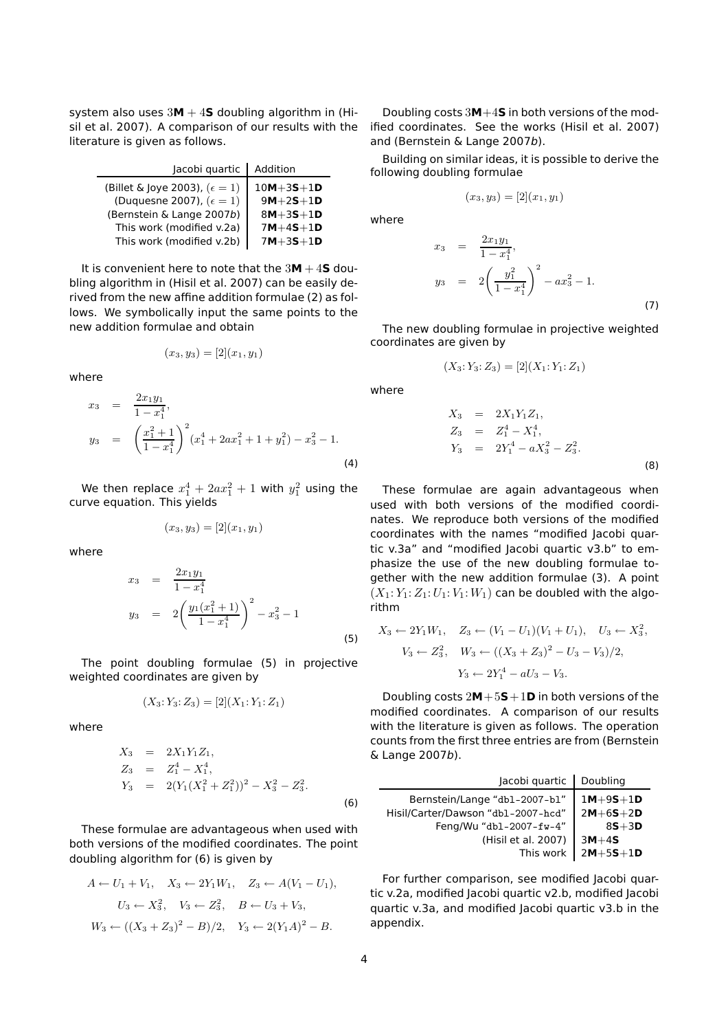system also uses  $3M + 4S$  doubling algorithm in (Hisil et al. 2007). A comparison of our results with the literature is given as follows.

| Jacobi quartic                         | Addition        |
|----------------------------------------|-----------------|
| (Billet & Joye 2003), $(\epsilon = 1)$ | $10M + 3S + 1D$ |
| (Duquesne 2007), $(\epsilon = 1)$      | $9M+2S+1D$      |
| (Bernstein & Lange 2007b)              | $8M + 3S + 1D$  |
| This work (modified v.2a)              | $7M + 4S + 1D$  |
| This work (modified v.2b)              | $7M + 3S + 1D$  |

It is convenient here to note that the  $3M + 4S$  doubling algorithm in (Hisil et al. 2007) can be easily derived from the new affine addition formulae (2) as follows. We symbolically input the same points to the new addition formulae and obtain

$$
(x_3, y_3) = [2](x_1, y_1)
$$

where

$$
x_3 = \frac{2x_1y_1}{1 - x_1^4},
$$
  
\n
$$
y_3 = \left(\frac{x_1^2 + 1}{1 - x_1^4}\right)^2 (x_1^4 + 2ax_1^2 + 1 + y_1^2) - x_3^2 - 1.
$$
  
\n(4)

We then replace  $x_1^4 + 2ax_1^2 + 1$  with  $y_1^2$  using the curve equation. This yields

$$
(x_3, y_3) = [2](x_1, y_1)
$$

where

$$
x_3 = \frac{2x_1y_1}{1 - x_1^4}
$$
  
\n
$$
y_3 = 2\left(\frac{y_1(x_1^2 + 1)}{1 - x_1^4}\right)^2 - x_3^2 - 1
$$
  
\n(5)

The point doubling formulae (5) in projective weighted coordinates are given by

$$
(X_3:Y_3:Z_3) = [2](X_1:Y_1:Z_1)
$$

where

$$
X_3 = 2X_1Y_1Z_1,
$$
  
\n
$$
Z_3 = Z_1^4 - X_1^4,
$$
  
\n
$$
Y_3 = 2(Y_1(X_1^2 + Z_1^2))^2 - X_3^2 - Z_3^2.
$$
  
\n(6)

These formulae are advantageous when used with both versions of the modified coordinates. The point doubling algorithm for (6) is given by

$$
A \leftarrow U_1 + V_1, \quad X_3 \leftarrow 2Y_1W_1, \quad Z_3 \leftarrow A(V_1 - U_1),
$$
  
\n
$$
U_3 \leftarrow X_3^2, \quad V_3 \leftarrow Z_3^2, \quad B \leftarrow U_3 + V_3,
$$
  
\n
$$
W_3 \leftarrow ((X_3 + Z_3)^2 - B)/2, \quad Y_3 \leftarrow 2(Y_1A)^2 - B.
$$

Doubling costs 3**M**+4**S** in both versions of the modified coordinates. See the works (Hisil et al. 2007) and (Bernstein & Lange 2007b).

Building on similar ideas, it is possible to derive the following doubling formulae

$$
(x_3, y_3) = [2](x_1, y_1)
$$

where

$$
x_3 = \frac{2x_1y_1}{1 - x_1^4},
$$
  
\n
$$
y_3 = 2\left(\frac{y_1^2}{1 - x_1^4}\right)^2 - ax_3^2 - 1.
$$
  
\n(7)

The new doubling formulae in projective weighted coordinates are given by

$$
(X_3: Y_3: Z_3) = [2](X_1: Y_1: Z_1)
$$

where

$$
X_3 = 2X_1Y_1Z_1,
$$
  
\n
$$
Z_3 = Z_1^4 - X_1^4,
$$
  
\n
$$
Y_3 = 2Y_1^4 - aX_3^2 - Z_3^2.
$$
  
\n(8)

These formulae are again advantageous when used with both versions of the modified coordinates. We reproduce both versions of the modified coordinates with the names "modified Jacobi quartic v.3a" and "modified Jacobi quartic v3.b" to emphasize the use of the new doubling formulae together with the new addition formulae (3). A point  $(X_1: Y_1: Z_1: U_1: V_1: W_1)$  can be doubled with the algorithm

$$
X_3 \leftarrow 2Y_1W_1, \quad Z_3 \leftarrow (V_1 - U_1)(V_1 + U_1), \quad U_3 \leftarrow X_3^2,
$$
  

$$
V_3 \leftarrow Z_3^2, \quad W_3 \leftarrow ((X_3 + Z_3)^2 - U_3 - V_3)/2,
$$
  

$$
Y_3 \leftarrow 2Y_1^4 - aU_3 - V_3.
$$

Doubling costs 2**M**+5**S**+1**D** in both versions of the modified coordinates. A comparison of our results with the literature is given as follows. The operation counts from the first three entries are from (Bernstein & Lange 2007b).

| Jacobi quartic                     | Doubling       |
|------------------------------------|----------------|
| Bernstein/Lange "db1-2007-b1"      | $1M+9S+1D$     |
| Hisil/Carter/Dawson "db1-2007-hcd" | $2M + 6S + 2D$ |
| Feng/Wu "db1-2007-fw-4"            | $85 + 3D$      |
| (Hisil et al. 2007)                | $3M+4S$        |
| This work                          | $2M+5S+1D$     |

For further comparison, see modified Jacobi quartic v.2a, modified Jacobi quartic v2.b, modified Jacobi quartic v.3a, and modified Jacobi quartic v3.b in the appendix.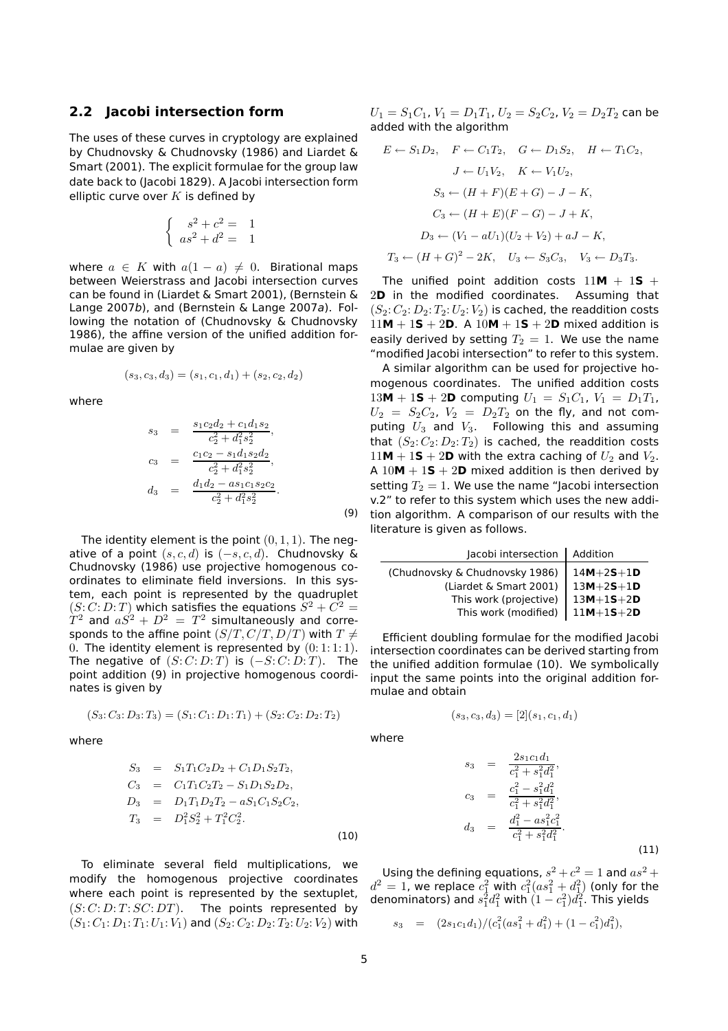#### **2.2 Jacobi intersection form**

The uses of these curves in cryptology are explained by Chudnovsky & Chudnovsky (1986) and Liardet & Smart (2001). The explicit formulae for the group law date back to (Jacobi 1829). A Jacobi intersection form elliptic curve over  $K$  is defined by

$$
\begin{cases}\ns^2 + c^2 = 1 \\
as^2 + d^2 = 1\n\end{cases}
$$

where  $a \in K$  with  $a(1-a) \neq 0$ . Birational maps between Weierstrass and Jacobi intersection curves can be found in (Liardet & Smart 2001), (Bernstein & Lange 2007b), and (Bernstein & Lange 2007a). Following the notation of (Chudnovsky & Chudnovsky 1986), the affine version of the unified addition formulae are given by

$$
(s_3, c_3, d_3) = (s_1, c_1, d_1) + (s_2, c_2, d_2)
$$

where

$$
s_3 = \frac{s_1c_2d_2 + c_1d_1s_2}{c_2^2 + d_1^2s_2^2},
$$
  
\n
$$
c_3 = \frac{c_1c_2 - s_1d_1s_2d_2}{c_2^2 + d_1^2s_2^2},
$$
  
\n
$$
d_3 = \frac{d_1d_2 - as_1c_1s_2c_2}{c_2^2 + d_1^2s_2^2}.
$$

The identity element is the point  $(0, 1, 1)$ . The negative of a point  $(s, c, d)$  is  $(-s, c, d)$ . Chudnovsky & Chudnovsky (1986) use projective homogenous coordinates to eliminate field inversions. In this system, each point is represented by the quadruplet  $(S: C: D:T)$  which satisfies the equations  $S^2 + C^2 =$  $\hat{T}^2$  and  $a \vec{S^2} + D^2 \, = \, T^2$  simultaneously and corresponds to the affine point  $(S/T, C/T, D/T)$  with  $T \neq$ 0. The identity element is represented by  $(0:1:1:1)$ . The negative of  $(S: C: D:T)$  is  $(-S: C: D:T)$ . The point addition (9) in projective homogenous coordinates is given by

$$
(S_3: C_3: D_3: T_3) = (S_1: C_1: D_1: T_1) + (S_2: C_2: D_2: T_2)
$$

where

$$
S_3 = S_1T_1C_2D_2 + C_1D_1S_2T_2,
$$
  
\n
$$
C_3 = C_1T_1C_2T_2 - S_1D_1S_2D_2,
$$
  
\n
$$
D_3 = D_1T_1D_2T_2 - aS_1C_1S_2C_2,
$$
  
\n
$$
T_3 = D_1^2S_2^2 + T_1^2C_2^2.
$$
\n(10)

To eliminate several field multiplications, we modify the homogenous projective coordinates where each point is represented by the sextuplet,  $(S: C: D: T: SC: DT)$ . The points represented by  $(S_1:C_1: D_1: T_1: U_1: V_1)$  and  $(S_2: C_2: D_2: T_2: U_2: V_2)$  with  $U_1 = S_1C_1$ ,  $V_1 = D_1T_1$ ,  $U_2 = S_2C_2$ ,  $V_2 = D_2T_2$  can be added with the algorithm

$$
E \leftarrow S_1 D_2, \quad F \leftarrow C_1 T_2, \quad G \leftarrow D_1 S_2, \quad H \leftarrow T_1 C_2,
$$
  
\n
$$
J \leftarrow U_1 V_2, \quad K \leftarrow V_1 U_2,
$$
  
\n
$$
S_3 \leftarrow (H + F)(E + G) - J - K,
$$
  
\n
$$
C_3 \leftarrow (H + E)(F - G) - J + K,
$$
  
\n
$$
D_3 \leftarrow (V_1 - aU_1)(U_2 + V_2) + aJ - K,
$$
  
\n
$$
T_3 \leftarrow (H + G)^2 - 2K, \quad U_3 \leftarrow S_3 C_3, \quad V_3 \leftarrow D_3 T_3.
$$

The unified point addition costs  $11M + 1S +$ 2**D** in the modified coordinates. Assuming that  $(S_2: C_2: D_2: T_2: U_2: V_2)$  is cached, the readdition costs  $11M + 15 + 2D$ . A  $10M + 15 + 2D$  mixed addition is easily derived by setting  $T_2 = 1$ . We use the name "modified Jacobi intersection" to refer to this system.

A similar algorithm can be used for projective homogenous coordinates. The unified addition costs  $13M + 15 + 2D$  computing  $U_1 = S_1C_1$ ,  $V_1 = D_1T_1$ ,  $U_2 = S_2C_2$ ,  $V_2 = D_2T_2$  on the fly, and not computing  $U_3$  and  $V_3$ . Following this and assuming that  $(S_2: C_2: D_2: T_2)$  is cached, the readdition costs  $11M + 1S + 2D$  with the extra caching of  $U_2$  and  $V_2$ . A  $10M + 1S + 2D$  mixed addition is then derived by setting  $T_2 = 1$ . We use the name "Jacobi intersection v.2" to refer to this system which uses the new addition algorithm. A comparison of our results with the literature is given as follows.

| Jacobi intersection            | Addition        |
|--------------------------------|-----------------|
| (Chudnovsky & Chudnovsky 1986) | $14M + 25 + 1D$ |
| (Liardet & Smart 2001)         | $13M + 25 + 1D$ |
| This work (projective)         | $13M + 15 + 2D$ |
| This work (modified)           | $11M + 15 + 2D$ |

Efficient doubling formulae for the modified Jacobi intersection coordinates can be derived starting from the unified addition formulae (10). We symbolically input the same points into the original addition formulae and obtain

$$
(s_3, c_3, d_3) = [2](s_1, c_1, d_1)
$$

where

(9)

$$
s_3 = \frac{2s_1c_1d_1}{c_1^2 + s_1^2d_1^2},
$$
  
\n
$$
c_3 = \frac{c_1^2 - s_1^2d_1^2}{c_1^2 + s_1^2d_1^2},
$$
  
\n
$$
d_3 = \frac{d_1^2 - as_1^2c_1^2}{c_1^2 + s_1^2d_1^2}.
$$
  
\n(11)

Using the defining equations,  $s^2 + c^2 = 1$  and  $as^2 +$  $d^2=1$ , we replace  $c_1^2$  with  $c_1^2 (as_1^2 + d_1^2)$  (only for the denominators) and  $s_1^2 d_1^2$  with  $(1-c_1^2)d_1^2$ . This yields

$$
s_3 = (2s_1c_1d_1)/(c_1^2(as_1^2 + d_1^2) + (1 - c_1^2)d_1^2),
$$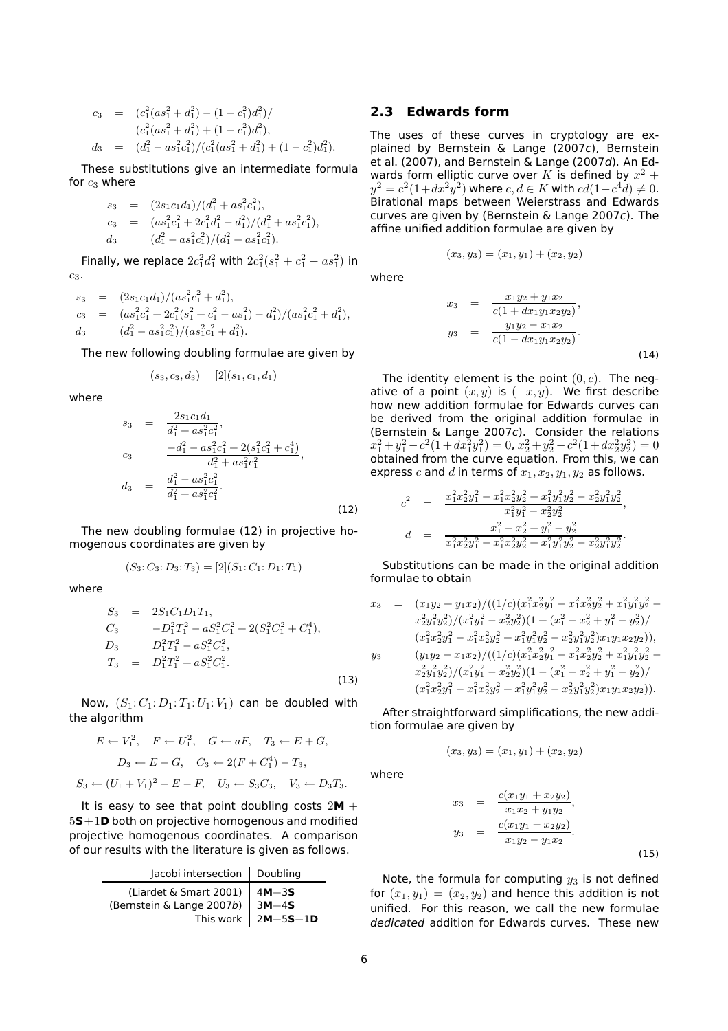$$
c_3 = (c_1^2(a s_1^2 + d_1^2) - (1 - c_1^2)d_1^2)/
$$
  
\n
$$
(c_1^2(a s_1^2 + d_1^2) + (1 - c_1^2)d_1^2),
$$
  
\n
$$
d_3 = (d_1^2 - a s_1^2 c_1^2)/(c_1^2(a s_1^2 + d_1^2) + (1 - c_1^2)d_1^2).
$$

These substitutions give an intermediate formula for  $c_3$  where

$$
s_3 = (2s_1c_1d_1)/(d_1^2 + as_1^2c_1^2),
$$
  
\n
$$
c_3 = (as_1^2c_1^2 + 2c_1^2d_1^2 - d_1^2)/(d_1^2 + as_1^2c_1^2),
$$
  
\n
$$
d_3 = (d_1^2 - as_1^2c_1^2)/(d_1^2 + as_1^2c_1^2).
$$

Finally, we replace  $2c_1^2d_1^2$  with  $2c_1^2(s_1^2 + c_1^2 - as_1^2)$  in  $c_3$ .

$$
s_3 = (2s_1c_1d_1)/(as_1^2c_1^2 + d_1^2),
$$
  
\n
$$
c_3 = (as_1^2c_1^2 + 2c_1^2(s_1^2 + c_1^2 - as_1^2) - d_1^2)/(as_1^2c_1^2 + d_1^2),
$$
  
\n
$$
d_3 = (d_1^2 - as_1^2c_1^2)/(as_1^2c_1^2 + d_1^2).
$$

The new following doubling formulae are given by

$$
(s_3, c_3, d_3) = [2](s_1, c_1, d_1)
$$

where

$$
s_3 = \frac{2s_1c_1d_1}{d_1^2 + as_1^2c_1^2},
$$
  
\n
$$
c_3 = \frac{-d_1^2 - as_1^2c_1^2 + 2(s_1^2c_1^2 + c_1^4)}{d_1^2 + as_1^2c_1^2},
$$
  
\n
$$
d_3 = \frac{d_1^2 - as_1^2c_1^2}{d_1^2 + as_1^2c_1^2}.
$$
  
\n(12)

The new doubling formulae (12) in projective homogenous coordinates are given by

$$
(S_3: C_3: D_3: T_3) = [2](S_1: C_1: D_1: T_1)
$$

where

$$
S_3 = 2S_1C_1D_1T_1,
$$
  
\n
$$
C_3 = -D_1^2T_1^2 - aS_1^2C_1^2 + 2(S_1^2C_1^2 + C_1^4),
$$
  
\n
$$
D_3 = D_1^2T_1^2 - aS_1^2C_1^2,
$$
  
\n
$$
T_3 = D_1^2T_1^2 + aS_1^2C_1^2.
$$
\n(13)

Now,  $(S_1: C_1: D_1: T_1: U_1: V_1)$  can be doubled with the algorithm

$$
E \leftarrow V_1^2, \quad F \leftarrow U_1^2, \quad G \leftarrow aF, \quad T_3 \leftarrow E + G,
$$
  

$$
D_3 \leftarrow E - G, \quad C_3 \leftarrow 2(F + C_1^4) - T_3,
$$
  

$$
S_3 \leftarrow (U_1 + V_1)^2 - E - F, \quad U_3 \leftarrow S_3 C_3, \quad V_3 \leftarrow D_3 T_3.
$$

It is easy to see that point doubling costs  $2M +$ **S**+1**D** both on projective homogenous and modified projective homogenous coordinates. A comparison of our results with the literature is given as follows.

| Jacobi intersection   Doubling      |                            |
|-------------------------------------|----------------------------|
| (Liardet & Smart 2001) $4M+3S$      |                            |
| (Bernstein & Lange 2007b) $ 3M+4S $ |                            |
|                                     | This work $\vert 2M+5S+1D$ |

#### **2.3 Edwards form**

The uses of these curves in cryptology are explained by Bernstein & Lange (2007c), Bernstein et al. (2007), and Bernstein & Lange (2007d). An Edwards form elliptic curve over  $K$  is defined by  $x^2\,\!+\!\!$  $y^2 = c^2(1+dx^2y^2)$  where  $c, d \in K$  with  $cd(1-c^4d) \neq 0$ . Birational maps between Weierstrass and Edwards curves are given by (Bernstein & Lange 2007c). The affine unified addition formulae are given by

$$
(x_3, y_3) = (x_1, y_1) + (x_2, y_2)
$$

$$
f_{\rm{max}}
$$

where

$$
x_3 = \frac{x_1y_2 + y_1x_2}{c(1 + dx_1y_1x_2y_2)},
$$
  
\n
$$
y_3 = \frac{y_1y_2 - x_1x_2}{c(1 - dx_1y_1x_2y_2)}.
$$
  
\n(14)

The identity element is the point  $(0, c)$ . The negative of a point  $(x, y)$  is  $(-x, y)$ . We first describe how new addition formulae for Edwards curves can be derived from the original addition formulae in (Bernstein & Lange 2007c). Consider the relations  $x_1^2 + y_1^2 - c^2(1 + dx_1^2y_1^2) = 0, \ x_2^2 + y_2^2 - c^2(1 + dx_2^2y_2^2) = 0$ obtained from the curve equation. From this, we can express c and d in terms of  $x_1, x_2, y_1, y_2$  as follows.

$$
\begin{array}{rcl} c^2&=&\frac{x_1^2x_2^2y_1^2-x_1^2x_2^2y_2^2+x_1^2y_1^2y_2^2-x_2^2y_1^2y_2^2}{x_1^2y_1^2-x_2^2y_2^2},\\ d&=&\frac{x_1^2-x_2^2+y_1^2-y_2^2}{x_1^2x_2^2y_1^2-x_1^2x_2^2y_2^2+x_1^2y_1^2y_2^2-x_2^2y_1^2y_2^2}. \end{array}
$$

Substitutions can be made in the original addition formulae to obtain

$$
x_3 = (x_1y_2 + y_1x_2)/((1/c)(x_1^2x_2^2y_1^2 - x_1^2x_2^2y_2^2 + x_1^2y_1^2y_2^2 - x_2^2y_1^2y_2^2)/((x_1^2y_1^2 - x_2^2y_2^2)(1 + (x_1^2 - x_2^2 + y_1^2 - y_2^2)/((x_1^2x_2^2y_1^2 - x_1^2x_2^2y_2^2 + x_1^2y_1^2y_2^2 - x_2^2y_1^2y_2^2)x_1y_1x_2y_2)),
$$

$$
y_3 = (y_1y_2 - x_1x_2)/((1/c)(x_1^2x_2^2y_1^2 - x_1^2x_2^2y_2^2 + x_1^2y_1^2y_2^2 - x_2^2y_1^2y_2^2)/((x_1^2y_1^2 - x_2^2y_2^2)(1 - (x_1^2 - x_2^2 + y_1^2 - y_2^2)/((x_1^2x_2^2y_1^2 - x_1^2x_2^2y_2^2 + x_1^2y_1^2y_2^2 - x_2^2y_1^2y_2^2)x_1y_1x_2y_2)).
$$

After straightforward simplifications, the new addition formulae are given by

$$
(x_3, y_3) = (x_1, y_1) + (x_2, y_2)
$$

where

$$
x_3 = \frac{c(x_1y_1 + x_2y_2)}{x_1x_2 + y_1y_2},
$$
  
\n
$$
y_3 = \frac{c(x_1y_1 - x_2y_2)}{x_1y_2 - y_1x_2}.
$$
\n(15)

Note, the formula for computing  $y_3$  is not defined for  $(x_1, y_1) = (x_2, y_2)$  and hence this addition is not unified. For this reason, we call the new formulae dedicated addition for Edwards curves. These new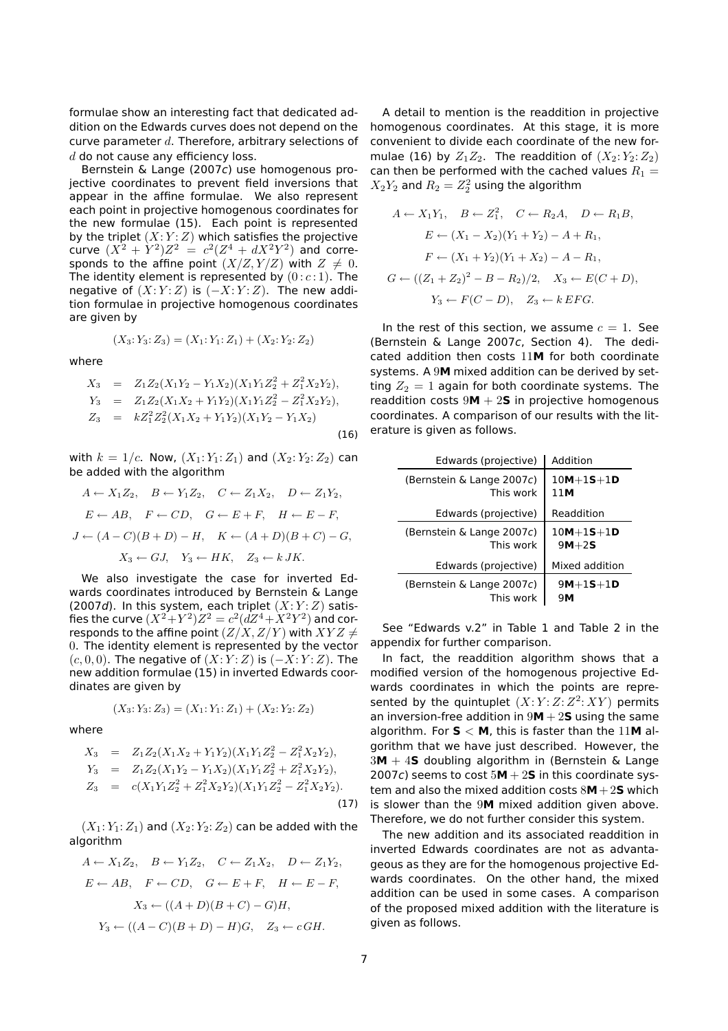formulae show an interesting fact that dedicated addition on the Edwards curves does not depend on the curve parameter  $d$ . Therefore, arbitrary selections of  $d$  do not cause any efficiency loss.

Bernstein & Lange (2007c) use homogenous projective coordinates to prevent field inversions that appear in the affine formulae. We also represent each point in projective homogenous coordinates for the new formulae (15). Each point is represented by the triplet  $(X:Y:Z)$  which satisfies the projective curve  $(X^2 + Y^2)Z^2 = c^2(Z^4 + dX^2Y^2)$  and corresponds to the affine point  $(X/Z, Y/Z)$  with  $Z \neq 0$ . The identity element is represented by  $(0 : c : 1)$ . The negative of  $(X:Y:Z)$  is  $(-X:Y:Z)$ . The new addition formulae in projective homogenous coordinates are given by

$$
(X_3: Y_3: Z_3) = (X_1: Y_1: Z_1) + (X_2: Y_2: Z_2)
$$

where

$$
X_3 = Z_1 Z_2 (X_1 Y_2 - Y_1 X_2) (X_1 Y_1 Z_2^2 + Z_1^2 X_2 Y_2),
$$
  
\n
$$
Y_3 = Z_1 Z_2 (X_1 X_2 + Y_1 Y_2) (X_1 Y_1 Z_2^2 - Z_1^2 X_2 Y_2),
$$
  
\n
$$
Z_3 = k Z_1^2 Z_2^2 (X_1 X_2 + Y_1 Y_2) (X_1 Y_2 - Y_1 X_2)
$$
\n(16)

with  $k = 1/c$ . Now,  $(X_1: Y_1: Z_1)$  and  $(X_2: Y_2: Z_2)$  can be added with the algorithm

$$
A \leftarrow X_1 Z_2, \quad B \leftarrow Y_1 Z_2, \quad C \leftarrow Z_1 X_2, \quad D \leftarrow Z_1 Y_2,
$$
  

$$
E \leftarrow AB, \quad F \leftarrow CD, \quad G \leftarrow E + F, \quad H \leftarrow E - F,
$$
  

$$
J \leftarrow (A - C)(B + D) - H, \quad K \leftarrow (A + D)(B + C) - G,
$$
  

$$
X_3 \leftarrow GJ, \quad Y_3 \leftarrow HK, \quad Z_3 \leftarrow kJK.
$$

We also investigate the case for inverted Edwards coordinates introduced by Bernstein & Lange (2007d). In this system, each triplet  $(X:Y:Z)$  satisfies the curve  $(X^2\!+\!Y^2)Z^2=c^2(d\!Z^4\!+\!\overset{\text{\normalsize{$X$}}}{}\!{}^2Y^2)$  and corresponds to the affine point  $(Z/X, Z/Y)$  with  $XYZ \neq$ 0. The identity element is represented by the vector  $(c, 0, 0)$ . The negative of  $(X: Y: Z)$  is  $(-X: Y: Z)$ . The new addition formulae (15) in inverted Edwards coordinates are given by

$$
(X_3: Y_3: Z_3) = (X_1: Y_1: Z_1) + (X_2: Y_2: Z_2)
$$

where

$$
X_3 = Z_1 Z_2 (X_1 X_2 + Y_1 Y_2) (X_1 Y_1 Z_2^2 - Z_1^2 X_2 Y_2),
$$
  
\n
$$
Y_3 = Z_1 Z_2 (X_1 Y_2 - Y_1 X_2) (X_1 Y_1 Z_2^2 + Z_1^2 X_2 Y_2),
$$
  
\n
$$
Z_3 = c(X_1 Y_1 Z_2^2 + Z_1^2 X_2 Y_2) (X_1 Y_1 Z_2^2 - Z_1^2 X_2 Y_2).
$$
\n(17)

 $(X_1: Y_1: Z_1)$  and  $(X_2: Y_2: Z_2)$  can be added with the algorithm

$$
A \leftarrow X_1 Z_2, \quad B \leftarrow Y_1 Z_2, \quad C \leftarrow Z_1 X_2, \quad D \leftarrow Z_1 Y_2,
$$
  

$$
E \leftarrow AB, \quad F \leftarrow CD, \quad G \leftarrow E + F, \quad H \leftarrow E - F,
$$
  

$$
X_3 \leftarrow ((A + D)(B + C) - G)H,
$$
  

$$
Y_3 \leftarrow ((A - C)(B + D) - H)G, \quad Z_3 \leftarrow cGH.
$$

A detail to mention is the readdition in projective homogenous coordinates. At this stage, it is more convenient to divide each coordinate of the new formulae (16) by  $Z_1Z_2$ . The readdition of  $(X_2: Y_2: Z_2)$ can then be performed with the cached values  $R_1 =$  $X_2Y_2$  and  $R_2=Z_2^2$  using the algorithm

$$
A \leftarrow X_1 Y_1, \quad B \leftarrow Z_1^2, \quad C \leftarrow R_2 A, \quad D \leftarrow R_1 B,
$$
  
\n
$$
E \leftarrow (X_1 - X_2)(Y_1 + Y_2) - A + R_1,
$$
  
\n
$$
F \leftarrow (X_1 + Y_2)(Y_1 + X_2) - A - R_1,
$$
  
\n
$$
G \leftarrow ((Z_1 + Z_2)^2 - B - R_2)/2, \quad X_3 \leftarrow E(C + D),
$$
  
\n
$$
Y_3 \leftarrow F(C - D), \quad Z_3 \leftarrow k EFG.
$$

In the rest of this section, we assume  $c = 1$ . See (Bernstein & Lange 2007c, Section 4). The dedicated addition then costs 11**M** for both coordinate systems. A 9**M** mixed addition can be derived by setting  $Z_2 = 1$  again for both coordinate systems. The readdition costs  $9M + 2S$  in projective homogenous coordinates. A comparison of our results with the literature is given as follows.

| Edwards (projective)      | Addition        |
|---------------------------|-----------------|
| (Bernstein & Lange 2007c) | $10M + 15 + 1D$ |
| This work                 | 11M             |
| Edwards (projective)      | Readdition      |
| (Bernstein & Lange 2007c) | $10M+1S+1D$     |
| This work                 | $9M+2S$         |
| Edwards (projective)      | Mixed addition  |
| (Bernstein & Lange 2007c) | $9M+15+1D$      |
| This work                 | 9Μ              |

See "Edwards v.2" in Table 1 and Table 2 in the appendix for further comparison.

In fact, the readdition algorithm shows that a modified version of the homogenous projective Edwards coordinates in which the points are represented by the quintuplet  $(X:Y:Z:Z^2:XY)$  permits an inversion-free addition in  $9M + 2S$  using the same algorithm. For **S** < **M**, this is faster than the 11**M** algorithm that we have just described. However, the 3**M** + 4**S** doubling algorithm in (Bernstein & Lange 2007c) seems to cost  $5M + 2S$  in this coordinate system and also the mixed addition costs 8**M**+2**S** which is slower than the 9**M** mixed addition given above. Therefore, we do not further consider this system.

The new addition and its associated readdition in inverted Edwards coordinates are not as advantageous as they are for the homogenous projective Edwards coordinates. On the other hand, the mixed addition can be used in some cases. A comparison of the proposed mixed addition with the literature is given as follows.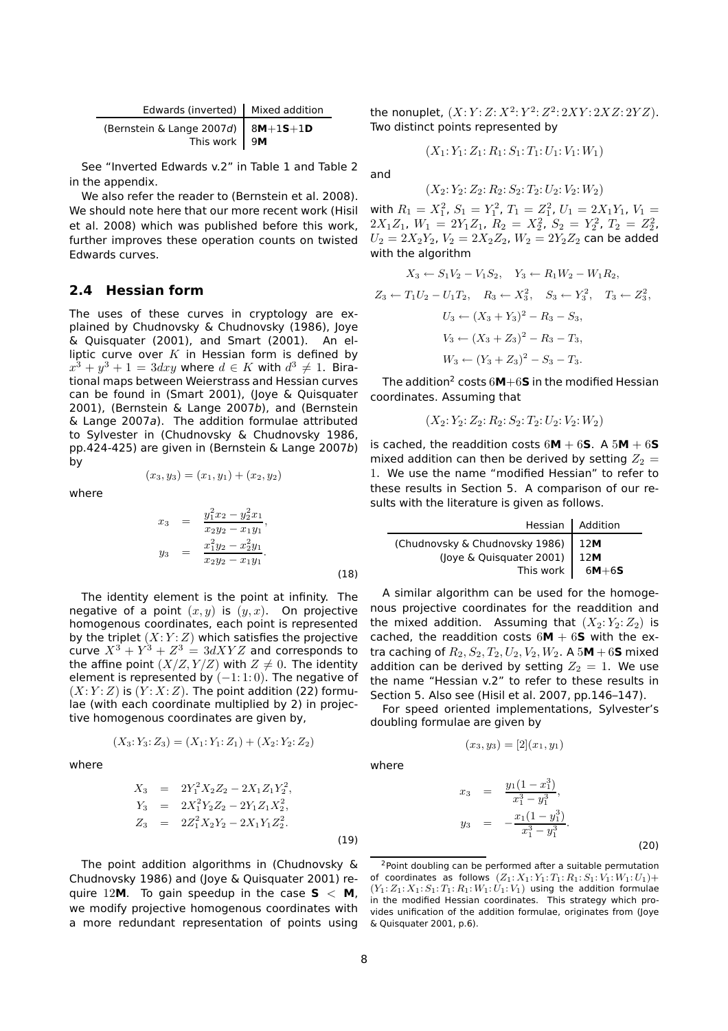| Edwards (inverted)   Mixed addition                                                                    |  |
|--------------------------------------------------------------------------------------------------------|--|
| (Bernstein & Lange 2007d) $\begin{array}{ c c c }\n\hline\n8M+1S+1D \\ \hline\n7his work\n\end{array}$ |  |

See "Inverted Edwards v.2" in Table 1 and Table 2 in the appendix.

We also refer the reader to (Bernstein et al. 2008). We should note here that our more recent work (Hisil et al. 2008) which was published before this work, further improves these operation counts on twisted Edwards curves.

#### **2.4 Hessian form**

The uses of these curves in cryptology are explained by Chudnovsky & Chudnovsky (1986), Joye & Quisquater (2001), and Smart (2001). An elliptic curve over  $K$  in Hessian form is defined by  $x^3 + y^3 + 1 = 3$ d $xy$  where  $d \in K$  with  $d^3 \neq 1$ . Birational maps between Weierstrass and Hessian curves can be found in (Smart 2001), (Joye & Quisquater 2001), (Bernstein & Lange 2007b), and (Bernstein & Lange 2007a). The addition formulae attributed to Sylvester in (Chudnovsky & Chudnovsky 1986, pp.424-425) are given in (Bernstein & Lange 2007b) by

where

$$
(x_3, y_3) = (x_1, y_1) + (x_2, y_2)
$$

$$
x_3 = \frac{y_1^2 x_2 - y_2^2 x_1}{x_2 y_2 - x_1 y_1},
$$
  
\n
$$
y_3 = \frac{x_1^2 y_2 - x_2^2 y_1}{x_2 y_2 - x_1 y_1}.
$$
\n(18)

The identity element is the point at infinity. The negative of a point  $(x, y)$  is  $(y, x)$ . On projective homogenous coordinates, each point is represented by the triplet  $(X:Y:Z)$  which satisfies the projective curve  $X^3 + Y^3 + Z^3 = 3dXYZ$  and corresponds to the affine point  $(X/Z, Y/Z)$  with  $Z \neq 0$ . The identity element is represented by  $(-1:1:0)$ . The negative of  $(X:Y:Z)$  is  $(Y:X:Z)$ . The point addition (22) formulae (with each coordinate multiplied by 2) in projective homogenous coordinates are given by,

$$
(X_3; Y_3; Z_3) = (X_1; Y_1; Z_1) + (X_2; Y_2; Z_2)
$$

where

$$
X_3 = 2Y_1^2 X_2 Z_2 - 2X_1 Z_1 Y_2^2,
$$
  
\n
$$
Y_3 = 2X_1^2 Y_2 Z_2 - 2Y_1 Z_1 X_2^2,
$$
  
\n
$$
Z_3 = 2Z_1^2 X_2 Y_2 - 2X_1 Y_1 Z_2^2.
$$
  
\n(19)

The point addition algorithms in (Chudnovsky & Chudnovsky 1986) and (Joye & Quisquater 2001) require 12**M**. To gain speedup in the case  $S < M$ , we modify projective homogenous coordinates with a more redundant representation of points using & Quisquater 2001, p.6).

the nonuplet,  $(X:Y:Z:X^2:Y^2:Z^2:2XY:2XZ:2YZ)$ . Two distinct points represented by

$$
(X_1: Y_1: Z_1: R_1: S_1: T_1: U_1: V_1: W_1)
$$

and

$$
(X_2; Y_2; Z_2; R_2; S_2; T_2; U_2; V_2; W_2)
$$

with  $R_1 = X_1^2$ ,  $S_1 = Y_1^2$ ,  $T_1 = Z_1^2$ ,  $U_1 = 2X_1Y_1$ ,  $V_1 =$  $2X_1Z_1, W_1 = 2Y_1Z_1, R_2 = X_2^2, S_2 = Y_2^2, T_2 = Z_2^2,$  $U_2 = 2X_2Y_2$ ,  $V_2 = 2X_2Z_2$ ,  $W_2 = 2Y_2Z_2$  can be added with the algorithm

$$
X_3 \leftarrow S_1 V_2 - V_1 S_2, \quad Y_3 \leftarrow R_1 W_2 - W_1 R_2,
$$
  
\n
$$
Z_3 \leftarrow T_1 U_2 - U_1 T_2, \quad R_3 \leftarrow X_3^2, \quad S_3 \leftarrow Y_3^2, \quad T_3 \leftarrow Z_3^2,
$$
  
\n
$$
U_3 \leftarrow (X_3 + Y_3)^2 - R_3 - S_3,
$$
  
\n
$$
V_3 \leftarrow (X_3 + Z_3)^2 - R_3 - T_3,
$$
  
\n
$$
W_3 \leftarrow (Y_3 + Z_3)^2 - S_3 - T_3.
$$

The addition<sup>2</sup> costs  $6M+6S$  in the modified Hessian coordinates. Assuming that

$$
(X_2: Y_2: Z_2: R_2: S_2: T_2: U_2: V_2: W_2)
$$

is cached, the readdition costs  $6M + 6S$ . A  $5M + 6S$ mixed addition can then be derived by setting  $Z_2 =$ 1. We use the name "modified Hessian" to refer to these results in Section 5. A comparison of our results with the literature is given as follows.

|                                    | Hessian Addition |
|------------------------------------|------------------|
| (Chudnovsky & Chudnovsky 1986) 12M |                  |
| (Joye & Quisquater 2001)   12M     |                  |
| This work                          | 6M $+6$ S        |

A similar algorithm can be used for the homogenous projective coordinates for the readdition and the mixed addition. Assuming that  $(X_2; Y_2; Z_2)$  is cached, the readdition costs  $6M + 6S$  with the extra caching of  $R_2, S_2, T_2, U_2, V_2, W_2$ . A  $5M + 6S$  mixed addition can be derived by setting  $Z_2 = 1$ . We use the name "Hessian v.2" to refer to these results in Section 5. Also see (Hisil et al. 2007, pp.146–147).

For speed oriented implementations, Sylvester's doubling formulae are given by

$$
(x_3, y_3) = [2](x_1, y_1)
$$

where

$$
x_3 = \frac{y_1(1-x_1^3)}{x_1^3 - y_1^3},
$$
  

$$
y_3 = -\frac{x_1(1-y_1^3)}{x_1^3 - y_1^3}.
$$
 (20)

<sup>2</sup>Point doubling can be performed after a suitable permutation of coordinates as follows  $(Z_1: X_1: Y_1: T_1: R_1: S_1: V_1: W_1: U_1)$ +  $(Y_1: Z_1: X_1: S_1: T_1: R_1: W_1: U_1: V_1)$  using the addition formulae in the modified Hessian coordinates. This strategy which provides unification of the addition formulae, originates from (Joye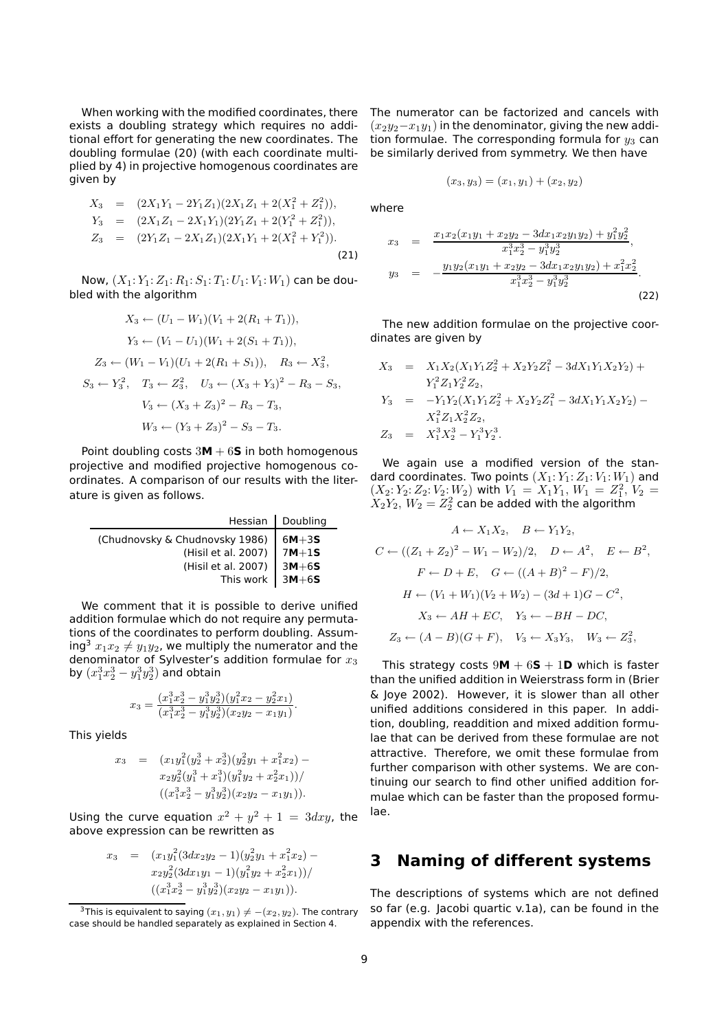When working with the modified coordinates, there exists a doubling strategy which requires no additional effort for generating the new coordinates. The doubling formulae (20) (with each coordinate multiplied by 4) in projective homogenous coordinates are given by

$$
X_3 = (2X_1Y_1 - 2Y_1Z_1)(2X_1Z_1 + 2(X_1^2 + Z_1^2)),
$$
  
\n
$$
Y_3 = (2X_1Z_1 - 2X_1Y_1)(2Y_1Z_1 + 2(Y_1^2 + Z_1^2)),
$$
  
\n
$$
Z_3 = (2Y_1Z_1 - 2X_1Z_1)(2X_1Y_1 + 2(X_1^2 + Y_1^2)).
$$
\n(21)

Now,  $(X_1: Y_1: Z_1: R_1: S_1: T_1: U_1: V_1: W_1)$  can be doubled with the algorithm

$$
X_3 \leftarrow (U_1 - W_1)(V_1 + 2(R_1 + T_1)),
$$
  
\n
$$
Y_3 \leftarrow (V_1 - U_1)(W_1 + 2(S_1 + T_1)),
$$
  
\n
$$
Z_3 \leftarrow (W_1 - V_1)(U_1 + 2(R_1 + S_1)), \quad R_3 \leftarrow X_3^2,
$$
  
\n
$$
S_3 \leftarrow Y_3^2, \quad T_3 \leftarrow Z_3^2, \quad U_3 \leftarrow (X_3 + Y_3)^2 - R_3 - S_3,
$$
  
\n
$$
V_3 \leftarrow (X_3 + Z_3)^2 - R_3 - T_3,
$$
  
\n
$$
W_3 \leftarrow (Y_3 + Z_3)^2 - S_3 - T_3.
$$

Point doubling costs 3**M** + 6**S** in both homogenous projective and modified projective homogenous coordinates. A comparison of our results with the literature is given as follows.

|                                | Hessian   Doubling |
|--------------------------------|--------------------|
| (Chudnovsky & Chudnovsky 1986) | $6M + 3S$          |
| (Hisil et al. 2007)            | $7M+1S$            |
| (Hisil et al. 2007)            | $3M+65$            |
| This work $\vert 3M+6S \vert$  |                    |

We comment that it is possible to derive unified addition formulae which do not require any permutations of the coordinates to perform doubling. Assuming<sup>3</sup>  $x_1x_2 \neq y_1y_2$ , we multiply the numerator and the denominator of Sylvester's addition formulae for  $x_3$ by  $(x_1^3x_2^3-y_1^3y_2^3)$  and obtain

$$
x_3 = \frac{(x_1^3 x_2^3 - y_1^3 y_2^3)(y_1^2 x_2 - y_2^2 x_1)}{(x_1^3 x_2^3 - y_1^3 y_2^3)(x_2 y_2 - x_1 y_1)}.
$$

This yields

$$
x_3 = (x_1y_1^2(y_2^3 + x_2^3)(y_2^2y_1 + x_1^2x_2) - x_2y_2^2(y_1^3 + x_1^3)(y_1^2y_2 + x_2^2x_1))/
$$
  

$$
((x_1^3x_2^3 - y_1^3y_2^3)(x_2y_2 - x_1y_1)).
$$

Using the curve equation  $x^2 + y^2 + 1 = 3$ d $xy$ , the above expression can be rewritten as

$$
x_3 = (x_1y_1^2(3dx_2y_2 - 1)(y_2^2y_1 + x_1^2x_2) - x_2y_2^2(3dx_1y_1 - 1)(y_1^2y_2 + x_2^2x_1))/
$$
  

$$
((x_1^3x_2^3 - y_1^3y_2^3)(x_2y_2 - x_1y_1)).
$$

The numerator can be factorized and cancels with  $(x_2y_2-x_1y_1)$  in the denominator, giving the new addition formulae. The corresponding formula for  $y_3$  can be similarly derived from symmetry. We then have

$$
(x_3, y_3) = (x_1, y_1) + (x_2, y_2)
$$

where

$$
x_3 = \frac{x_1 x_2 (x_1 y_1 + x_2 y_2 - 3 dx_1 x_2 y_1 y_2) + y_1^2 y_2^2}{x_1^3 x_2^3 - y_1^3 y_2^3},
$$
  
\n
$$
y_3 = -\frac{y_1 y_2 (x_1 y_1 + x_2 y_2 - 3 dx_1 x_2 y_1 y_2) + x_1^2 x_2^2}{x_1^3 x_2^3 - y_1^3 y_2^3}.
$$
  
\n(22)

The new addition formulae on the projective coordinates are given by

$$
X_3 = X_1 X_2 (X_1 Y_1 Z_2^2 + X_2 Y_2 Z_1^2 - 3dX_1 Y_1 X_2 Y_2) + Y_1^2 Z_1 Y_2^2 Z_2,
$$
  
\n
$$
Y_3 = -Y_1 Y_2 (X_1 Y_1 Z_2^2 + X_2 Y_2 Z_1^2 - 3dX_1 Y_1 X_2 Y_2) - X_1^2 Z_1 X_2^2 Z_2,
$$
  
\n
$$
Z_3 = X_1^3 X_2^3 - Y_1^3 Y_2^3.
$$

We again use a modified version of the standard coordinates. Two points  $(X_1:Y_1:Z_1:V_1:W_1)$  and  $(X_2: Y_2: Z_2: V_2: W_2)$  with  $V_1 = X_1 Y_1, W_1 = Z_1^2, V_2 =$  $X_2Y_2$ ,  $W_2=Z_2^2$  can be added with the algorithm

$$
A \leftarrow X_1 X_2, \quad B \leftarrow Y_1 Y_2,
$$
  
\n
$$
C \leftarrow ((Z_1 + Z_2)^2 - W_1 - W_2)/2, \quad D \leftarrow A^2, \quad E \leftarrow B^2,
$$
  
\n
$$
F \leftarrow D + E, \quad G \leftarrow ((A + B)^2 - F)/2,
$$
  
\n
$$
H \leftarrow (V_1 + W_1)(V_2 + W_2) - (3d + 1)G - C^2,
$$
  
\n
$$
X_3 \leftarrow AH + EC, \quad Y_3 \leftarrow -BH - DC,
$$
  
\n
$$
Z_3 \leftarrow (A - B)(G + F), \quad V_3 \leftarrow X_3 Y_3, \quad W_3 \leftarrow Z_3^2,
$$

This strategy costs  $9M + 6S + 1D$  which is faster than the unified addition in Weierstrass form in (Brier & Joye 2002). However, it is slower than all other unified additions considered in this paper. In addition, doubling, readdition and mixed addition formulae that can be derived from these formulae are not attractive. Therefore, we omit these formulae from further comparison with other systems. We are continuing our search to find other unified addition formulae which can be faster than the proposed formulae.

### **3 Naming of different systems**

The descriptions of systems which are not defined so far (e.g. Jacobi quartic v.1a), can be found in the appendix with the references.

<sup>&</sup>lt;sup>3</sup>This is equivalent to saying  $(x_1, y_1) \neq -(x_2, y_2)$ . The contrary case should be handled separately as explained in Section 4.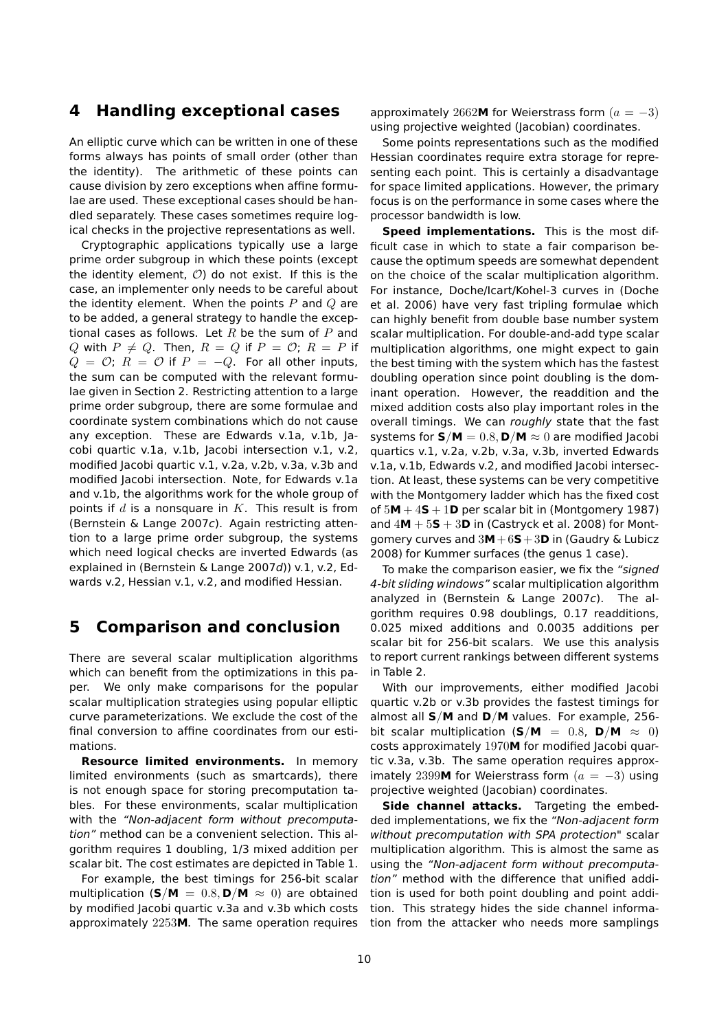### **4 Handling exceptional cases**

An elliptic curve which can be written in one of these forms always has points of small order (other than the identity). The arithmetic of these points can cause division by zero exceptions when affine formulae are used. These exceptional cases should be handled separately. These cases sometimes require logical checks in the projective representations as well.

Cryptographic applications typically use a large prime order subgroup in which these points (except the identity element,  $O$ ) do not exist. If this is the case, an implementer only needs to be careful about the identity element. When the points  $P$  and  $Q$  are to be added, a general strategy to handle the exceptional cases as follows. Let  $R$  be the sum of  $P$  and Q with  $P \neq Q$ . Then,  $R = Q$  if  $P = \mathcal{O}$ ;  $R = P$  if  $Q = \mathcal{O}$ ;  $R = \mathcal{O}$  if  $P = -Q$ . For all other inputs, the sum can be computed with the relevant formulae given in Section 2. Restricting attention to a large prime order subgroup, there are some formulae and coordinate system combinations which do not cause any exception. These are Edwards v.1a, v.1b, Jacobi quartic v.1a, v.1b, Jacobi intersection v.1, v.2, modified Jacobi quartic v.1, v.2a, v.2b, v.3a, v.3b and modified Jacobi intersection. Note, for Edwards v.1a and v.1b, the algorithms work for the whole group of points if  $d$  is a nonsquare in  $K$ . This result is from (Bernstein & Lange 2007c). Again restricting attention to a large prime order subgroup, the systems which need logical checks are inverted Edwards (as explained in (Bernstein & Lange 2007d)) v.1, v.2, Edwards v.2, Hessian v.1, v.2, and modified Hessian.

### **5 Comparison and conclusion**

There are several scalar multiplication algorithms which can benefit from the optimizations in this paper. We only make comparisons for the popular scalar multiplication strategies using popular elliptic curve parameterizations. We exclude the cost of the final conversion to affine coordinates from our estimations.

**Resource limited environments.** In memory limited environments (such as smartcards), there is not enough space for storing precomputation tables. For these environments, scalar multiplication with the "Non-adjacent form without precomputation" method can be a convenient selection. This algorithm requires 1 doubling, 1/3 mixed addition per scalar bit. The cost estimates are depicted in Table 1.

For example, the best timings for 256-bit scalar multiplication ( $S/M = 0.8$ ,  $D/M \approx 0$ ) are obtained by modified Jacobi quartic v.3a and v.3b which costs approximately 2253**M**. The same operation requires approximately 2662M for Weierstrass form  $(a = -3)$ using projective weighted (Jacobian) coordinates.

Some points representations such as the modified Hessian coordinates require extra storage for representing each point. This is certainly a disadvantage for space limited applications. However, the primary focus is on the performance in some cases where the processor bandwidth is low.

**Speed implementations.** This is the most difficult case in which to state a fair comparison because the optimum speeds are somewhat dependent on the choice of the scalar multiplication algorithm. For instance, Doche/Icart/Kohel-3 curves in (Doche et al. 2006) have very fast tripling formulae which can highly benefit from double base number system scalar multiplication. For double-and-add type scalar multiplication algorithms, one might expect to gain the best timing with the system which has the fastest doubling operation since point doubling is the dominant operation. However, the readdition and the mixed addition costs also play important roles in the overall timings. We can roughly state that the fast systems for  $S/M = 0.8$ ,  $D/M \approx 0$  are modified Jacobi quartics v.1, v.2a, v.2b, v.3a, v.3b, inverted Edwards v.1a, v.1b, Edwards v.2, and modified Jacobi intersection. At least, these systems can be very competitive with the Montgomery ladder which has the fixed cost of  $5M + 4S + 1D$  per scalar bit in (Montgomery 1987) and  $4M + 5S + 3D$  in (Castryck et al. 2008) for Montgomery curves and 3**M**+6**S**+3**D** in (Gaudry & Lubicz 2008) for Kummer surfaces (the genus 1 case).

To make the comparison easier, we fix the "signed 4-bit sliding windows" scalar multiplication algorithm analyzed in (Bernstein & Lange 2007c). The algorithm requires 0.98 doublings, 0.17 readditions, 0.025 mixed additions and 0.0035 additions per scalar bit for 256-bit scalars. We use this analysis to report current rankings between different systems in Table 2.

With our improvements, either modified Jacobi quartic v.2b or v.3b provides the fastest timings for almost all **S**/**M** and **D**/**M** values. For example, 256 bit scalar multiplication ( $S/M = 0.8$ ,  $D/M \approx 0$ ) costs approximately 1970**M** for modified Jacobi quartic v.3a, v.3b. The same operation requires approximately 2399M for Weierstrass form  $(a = -3)$  using projective weighted (Jacobian) coordinates.

**Side channel attacks.** Targeting the embedded implementations, we fix the "Non-adjacent form without precomputation with SPA protection" scalar multiplication algorithm. This is almost the same as using the "Non-adjacent form without precomputation" method with the difference that unified addition is used for both point doubling and point addition. This strategy hides the side channel information from the attacker who needs more samplings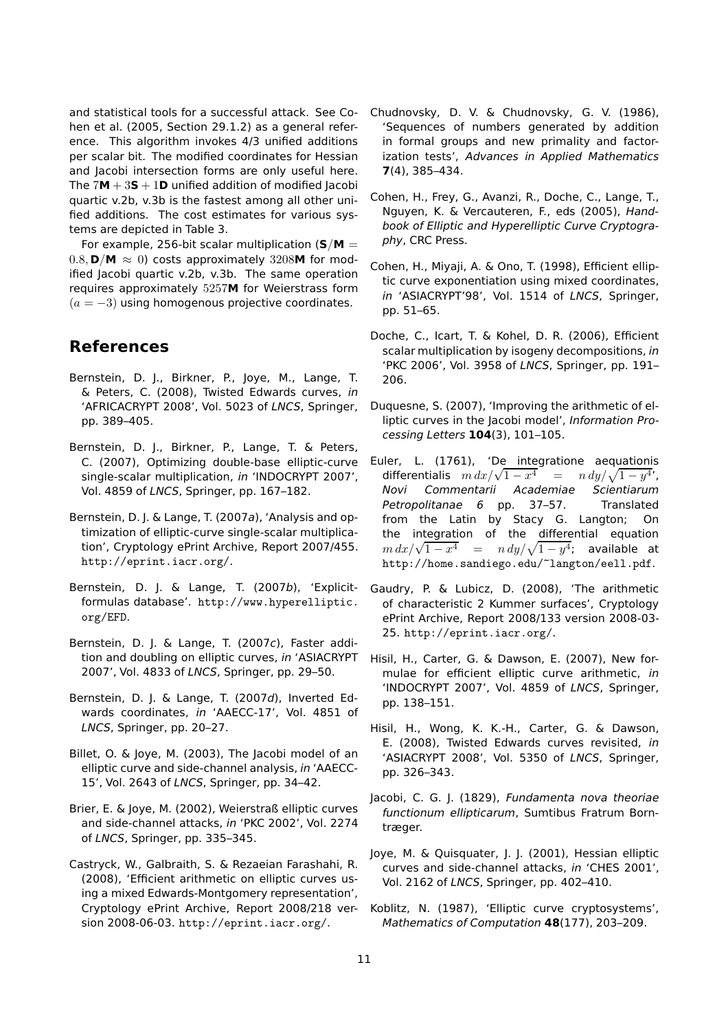and statistical tools for a successful attack. See Cohen et al. (2005, Section 29.1.2) as a general reference. This algorithm invokes 4/3 unified additions per scalar bit. The modified coordinates for Hessian and Jacobi intersection forms are only useful here. The  $7M + 3S + 1D$  unified addition of modified lacobi quartic v.2b, v.3b is the fastest among all other unified additions. The cost estimates for various systems are depicted in Table 3.

For example, 256-bit scalar multiplication  $(S/M =$  $0.8$ ,  $\mathsf{D}/\mathsf{M} \approx 0$ ) costs approximately 3208**M** for modified Jacobi quartic v.2b, v.3b. The same operation requires approximately 5257**M** for Weierstrass form  $(a = -3)$  using homogenous projective coordinates.

## **References**

- Bernstein, D. J., Birkner, P., Joye, M., Lange, T. & Peters, C. (2008), Twisted Edwards curves, in 'AFRICACRYPT 2008', Vol. 5023 of LNCS, Springer, pp. 389–405.
- Bernstein, D. J., Birkner, P., Lange, T. & Peters, C. (2007), Optimizing double-base elliptic-curve single-scalar multiplication, in 'INDOCRYPT 2007', Vol. 4859 of LNCS, Springer, pp. 167–182.
- Bernstein, D. J. & Lange, T. (2007a), 'Analysis and optimization of elliptic-curve single-scalar multiplication', Cryptology ePrint Archive, Report 2007/455. http://eprint.iacr.org/.
- Bernstein, D. J. & Lange, T. (2007b), 'Explicitformulas database'. http://www.hyperelliptic. org/EFD.
- Bernstein, D. J. & Lange, T. (2007c), Faster addition and doubling on elliptic curves, in 'ASIACRYPT 2007', Vol. 4833 of LNCS, Springer, pp. 29–50.
- Bernstein, D. J. & Lange, T. (2007d), Inverted Edwards coordinates, in 'AAECC-17', Vol. 4851 of LNCS, Springer, pp. 20–27.
- Billet, O. & Joye, M. (2003), The Jacobi model of an elliptic curve and side-channel analysis, in 'AAECC-15', Vol. 2643 of LNCS, Springer, pp. 34–42.
- Brier, E. & Joye, M. (2002), Weierstraß elliptic curves and side-channel attacks, in 'PKC 2002', Vol. 2274 of LNCS, Springer, pp. 335–345.
- Castryck, W., Galbraith, S. & Rezaeian Farashahi, R. (2008), 'Efficient arithmetic on elliptic curves using a mixed Edwards-Montgomery representation', Cryptology ePrint Archive, Report 2008/218 version 2008-06-03. http://eprint.iacr.org/.
- Chudnovsky, D. V. & Chudnovsky, G. V. (1986), 'Sequences of numbers generated by addition in formal groups and new primality and factorization tests', Advances in Applied Mathematics **7**(4), 385–434.
- Cohen, H., Frey, G., Avanzi, R., Doche, C., Lange, T., Nguyen, K. & Vercauteren, F., eds (2005), Handbook of Elliptic and Hyperelliptic Curve Cryptography, CRC Press.
- Cohen, H., Miyaji, A. & Ono, T. (1998), Efficient elliptic curve exponentiation using mixed coordinates, in 'ASIACRYPT'98', Vol. 1514 of LNCS, Springer, pp. 51–65.
- Doche, C., Icart, T. & Kohel, D. R. (2006), Efficient scalar multiplication by isogeny decompositions, in 'PKC 2006', Vol. 3958 of LNCS, Springer, pp. 191– 206.
- Duquesne, S. (2007), 'Improving the arithmetic of elliptic curves in the Jacobi model', Information Processing Letters **104**(3), 101–105.
- Euler, L. (1761), 'De integratione aequationis differentialis  $m dx/\sqrt{1-x^4} = n dy/\sqrt{1-y^4}$ , Novi Commentarii Academiae Scientiarum Petropolitanae 6 pp. 37–57. Translated from the Latin by Stacy G. Langton; On the integration of the differential equation  $m dx/\sqrt{1-x^4}$  =  $n dy/\sqrt{1-y^4}$ ; available at http://home.sandiego.edu/~langton/eell.pdf.
- Gaudry, P. & Lubicz, D. (2008), 'The arithmetic of characteristic 2 Kummer surfaces', Cryptology ePrint Archive, Report 2008/133 version 2008-03- 25. http://eprint.iacr.org/.
- Hisil, H., Carter, G. & Dawson, E. (2007), New formulae for efficient elliptic curve arithmetic, in 'INDOCRYPT 2007', Vol. 4859 of LNCS, Springer, pp. 138–151.
- Hisil, H., Wong, K. K.-H., Carter, G. & Dawson, E. (2008), Twisted Edwards curves revisited, in 'ASIACRYPT 2008', Vol. 5350 of LNCS, Springer, pp. 326–343.
- Jacobi, C. G. J. (1829), Fundamenta nova theoriae functionum ellipticarum, Sumtibus Fratrum Borntræger.
- Joye, M. & Quisquater, J. J. (2001), Hessian elliptic curves and side-channel attacks, in 'CHES 2001', Vol. 2162 of LNCS, Springer, pp. 402–410.
- Koblitz, N. (1987), 'Elliptic curve cryptosystems', Mathematics of Computation **48**(177), 203–209.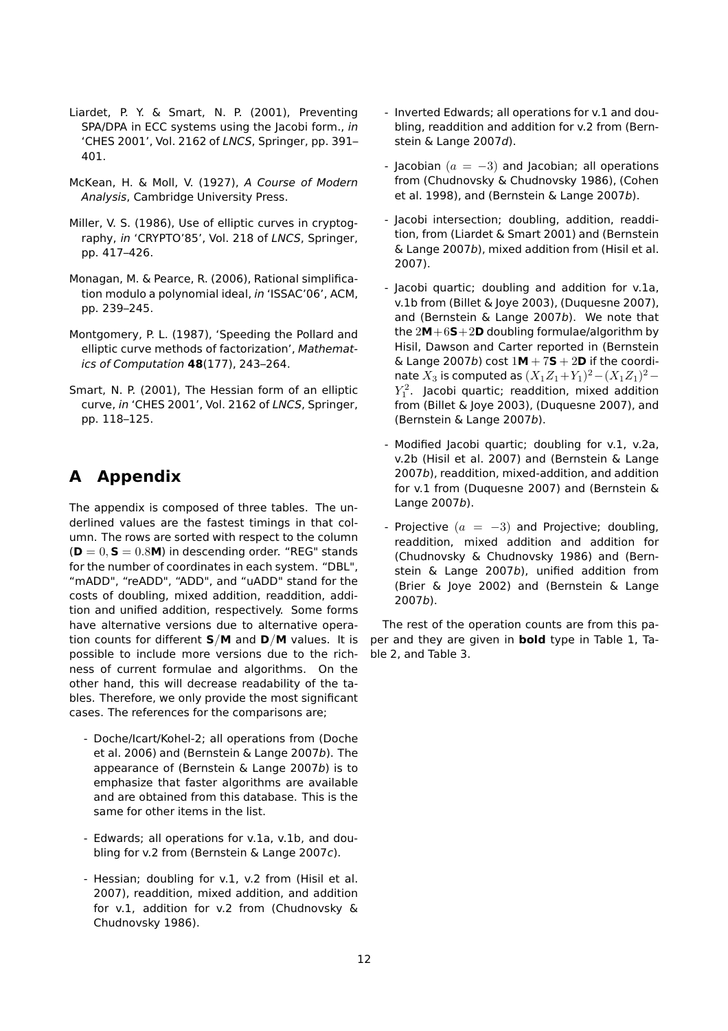- Liardet, P. Y. & Smart, N. P. (2001), Preventing SPA/DPA in ECC systems using the Jacobi form., in 'CHES 2001', Vol. 2162 of LNCS, Springer, pp. 391– 401.
- McKean, H. & Moll, V. (1927), A Course of Modern Analysis, Cambridge University Press.
- Miller, V. S. (1986), Use of elliptic curves in cryptography, in 'CRYPTO'85', Vol. 218 of LNCS, Springer, pp. 417–426.
- Monagan, M. & Pearce, R. (2006), Rational simplification modulo a polynomial ideal, in 'ISSAC'06', ACM, pp. 239–245.
- Montgomery, P. L. (1987), 'Speeding the Pollard and elliptic curve methods of factorization', Mathematics of Computation **48**(177), 243–264.
- Smart, N. P. (2001), The Hessian form of an elliptic curve, in 'CHES 2001', Vol. 2162 of LNCS, Springer, pp. 118–125.

# **A Appendix**

The appendix is composed of three tables. The underlined values are the fastest timings in that column. The rows are sorted with respect to the column  $(D = 0, S = 0.8M)$  in descending order. "REG" stands for the number of coordinates in each system. "DBL", "mADD", "reADD", "ADD", and "uADD" stand for the costs of doubling, mixed addition, readdition, addition and unified addition, respectively. Some forms have alternative versions due to alternative operation counts for different **S**/**M** and **D**/**M** values. It is possible to include more versions due to the richness of current formulae and algorithms. On the other hand, this will decrease readability of the tables. Therefore, we only provide the most significant cases. The references for the comparisons are;

- Doche/Icart/Kohel-2; all operations from (Doche et al. 2006) and (Bernstein & Lange 2007b). The appearance of (Bernstein & Lange 2007b) is to emphasize that faster algorithms are available and are obtained from this database. This is the same for other items in the list.
- Edwards; all operations for v.1a, v.1b, and doubling for v.2 from (Bernstein & Lange 2007c).
- Hessian; doubling for v.1, v.2 from (Hisil et al. 2007), readdition, mixed addition, and addition for v.1, addition for v.2 from (Chudnovsky & Chudnovsky 1986).
- Inverted Edwards; all operations for v.1 and doubling, readdition and addition for v.2 from (Bernstein & Lange 2007d).
- Jacobian ( $a = -3$ ) and Jacobian; all operations from (Chudnovsky & Chudnovsky 1986), (Cohen et al. 1998), and (Bernstein & Lange 2007b).
- Jacobi intersection; doubling, addition, readdition, from (Liardet & Smart 2001) and (Bernstein & Lange 2007b), mixed addition from (Hisil et al. 2007).
- Jacobi quartic; doubling and addition for v.1a, v.1b from (Billet & Joye 2003), (Duquesne 2007), and (Bernstein & Lange 2007b). We note that the 2**M**+6**S**+2**D** doubling formulae/algorithm by Hisil, Dawson and Carter reported in (Bernstein  $\&$  Lange 2007b) cost  $1M + 7S + 2D$  if the coordinate  $X_3$  is computed as  $(X_1Z_1+Y_1)^2-(X_1Z_1)^2 Y_1^2$ . Jacobi quartic; readdition, mixed addition from (Billet & Joye 2003), (Duquesne 2007), and (Bernstein & Lange 2007b).
- Modified Jacobi quartic; doubling for v.1, v.2a, v.2b (Hisil et al. 2007) and (Bernstein & Lange 2007b), readdition, mixed-addition, and addition for v.1 from (Duquesne 2007) and (Bernstein & Lange 2007b).
- Projective  $(a = -3)$  and Projective; doubling, readdition, mixed addition and addition for (Chudnovsky & Chudnovsky 1986) and (Bernstein & Lange 2007b), unified addition from (Brier & Joye 2002) and (Bernstein & Lange 2007b).

The rest of the operation counts are from this paper and they are given in **bold** type in Table 1, Table 2, and Table 3.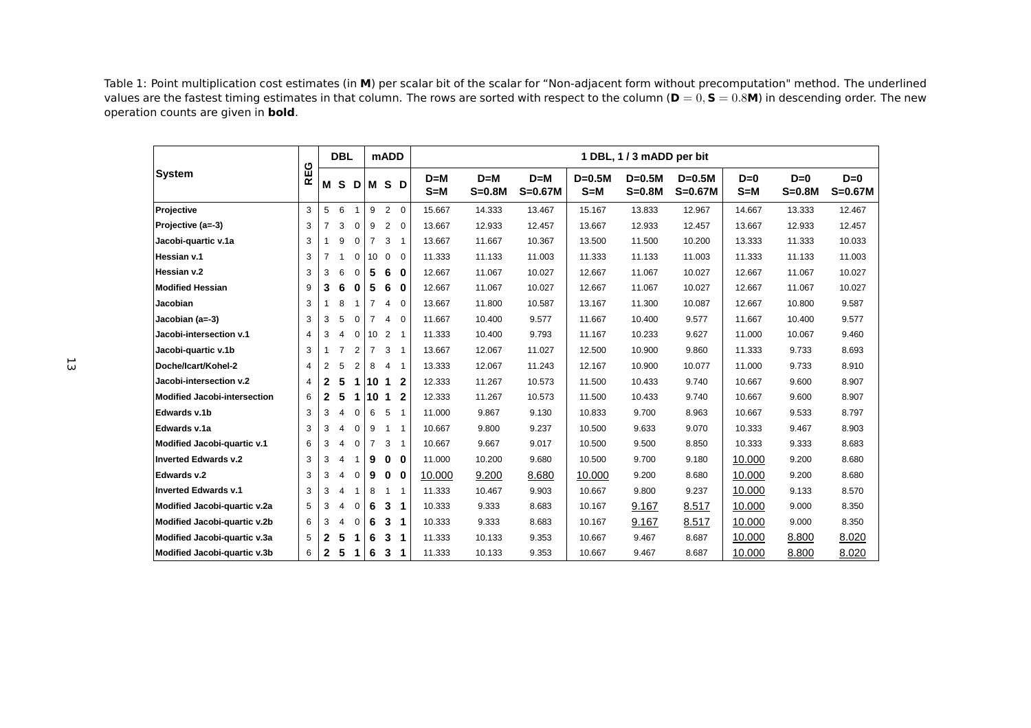Table 1: Point multiplication cost estimates (in **<sup>M</sup>**) per scalar bit of the scalar for "Non-adjacent form without precomputation" method. The underlined values are the fastest timing estimates in that column. The rows are sorted with respect to the column (**<sup>D</sup>** <sup>=</sup> <sup>0</sup>, **<sup>S</sup>** <sup>=</sup> <sup>0</sup>.8**M**) in descending order. The new operation counts are given in **bold**.

|                              |     |                | <b>DBL</b>     |                |                | <b>mADD</b>    |                | 1 DBL, 1 / 3 mADD per bit |                   |                    |                 |                      |                       |                  |                   |                    |  |  |
|------------------------------|-----|----------------|----------------|----------------|----------------|----------------|----------------|---------------------------|-------------------|--------------------|-----------------|----------------------|-----------------------|------------------|-------------------|--------------------|--|--|
| <b>System</b>                | REG | М              | <b>S</b>       | D              |                | M S            | D              | $D=M$<br>$S = M$          | $D=M$<br>$S=0.8M$ | $D=M$<br>$S=0.67M$ | $D=0.5M$<br>S=M | $D=0.5M$<br>$S=0.8M$ | $D=0.5M$<br>$S=0.67M$ | $D=0$<br>$S = M$ | $D=0$<br>$S=0.8M$ | $D=0$<br>$S=0.67M$ |  |  |
| Projective                   | 3   | 5              | 6              | $\overline{1}$ | 9              | 2              | $\overline{0}$ | 15.667                    | 14.333            | 13.467             | 15.167          | 13.833               | 12.967                | 14.667           | 13.333            | 12.467             |  |  |
| Projective (a=-3)            | 3   | $\overline{7}$ | 3              | 0              | 9              | 2              | $\mathbf 0$    | 13.667                    | 12.933            | 12.457             | 13.667          | 12.933               | 12.457                | 13.667           | 12.933            | 12.457             |  |  |
| Jacobi-quartic v.1a          | 3   | 1              | 9              | $\mathbf 0$    | $\overline{7}$ | 3              | $\mathbf{1}$   | 13.667                    | 11.667            | 10.367             | 13.500          | 11.500               | 10.200                | 13.333           | 11.333            | 10.033             |  |  |
| Hessian v.1                  | 3   | $\overline{7}$ |                | 0              | 10             | $\mathbf 0$    | $\Omega$       | 11.333                    | 11.133            | 11.003             | 11.333          | 11.133               | 11.003                | 11.333           | 11.133            | 11.003             |  |  |
| Hessian v.2                  | 3   | 3              | 6              | $\mathbf 0$    | 5              | 6              | $\bf{0}$       | 12.667                    | 11.067            | 10.027             | 12.667          | 11.067               | 10.027                | 12.667           | 11.067            | 10.027             |  |  |
| <b>Modified Hessian</b>      | 9   | 3              | 6              | 0              | 5              | 6              | 0              | 12.667                    | 11.067            | 10.027             | 12.667          | 11.067               | 10.027                | 12.667           | 11.067            | 10.027             |  |  |
| Jacobian                     | 3   | 1              | 8              | -1             | $\overline{7}$ | 4              | $\mathbf 0$    | 13.667                    | 11.800            | 10.587             | 13.167          | 11.300               | 10.087                | 12.667           | 10.800            | 9.587              |  |  |
| Jacobian (a=-3)              | 3   | 3              | 5              | $\mathbf 0$    | $\overline{7}$ | 4              | $\mathbf 0$    | 11.667                    | 10.400            | 9.577              | 11.667          | 10.400               | 9.577                 | 11.667           | 10.400            | 9.577              |  |  |
| Jacobi-intersection v.1      | 4   | 3              | 4              | $\mathbf 0$    | 10             | $\overline{2}$ | $\mathbf 1$    | 11.333                    | 10.400            | 9.793              | 11.167          | 10.233               | 9.627                 | 11.000           | 10.067            | 9.460              |  |  |
| Jacobi-quartic v.1b          | 3   | $\mathbf{1}$   | $\overline{7}$ | 2              | $\overline{7}$ | 3              | $\mathbf{1}$   | 13.667                    | 12.067            | 11.027             | 12.500          | 10.900               | 9.860                 | 11.333           | 9.733             | 8.693              |  |  |
| Doche/Icart/Kohel-2          | 4   | $\overline{2}$ | 5              | $\overline{2}$ | 8              | 4              | $\mathbf{1}$   | 13.333                    | 12.067            | 11.243             | 12.167          | 10.900               | 10.077                | 11.000           | 9.733             | 8.910              |  |  |
| Jacobi-intersection v.2      | 4   | $\mathbf{2}$   | 5              | 1              | 10             | 1              | $\mathbf{2}$   | 12.333                    | 11.267            | 10.573             | 11.500          | 10.433               | 9.740                 | 10.667           | 9.600             | 8.907              |  |  |
| Modified Jacobi-intersection | 6   | $\mathbf{2}$   | 5              | 1              | 10             | $\mathbf 1$    | $\mathbf{2}$   | 12.333                    | 11.267            | 10.573             | 11.500          | 10.433               | 9.740                 | 10.667           | 9.600             | 8.907              |  |  |
| Edwards v.1b                 | 3   | 3              | $\overline{4}$ | $\mathbf 0$    | 6              | 5              | $\mathbf{1}$   | 11.000                    | 9.867             | 9.130              | 10.833          | 9.700                | 8.963                 | 10.667           | 9.533             | 8.797              |  |  |
| Edwards v.1a                 | 3   | 3              | $\overline{4}$ | $\Omega$       | 9              | $\mathbf{1}$   | $\overline{1}$ | 10.667                    | 9.800             | 9.237              | 10.500          | 9.633                | 9.070                 | 10.333           | 9.467             | 8.903              |  |  |
| Modified Jacobi-quartic v.1  | 6   | 3              | 4              | $\mathbf 0$    | $\overline{7}$ | 3              | $\mathbf{1}$   | 10.667                    | 9.667             | 9.017              | 10.500          | 9.500                | 8.850                 | 10.333           | 9.333             | 8.683              |  |  |
| <b>Inverted Edwards v.2</b>  | 3   | 3              | 4              | -1             | 9              | $\bf{0}$       | 0              | 11.000                    | 10.200            | 9.680              | 10.500          | 9.700                | 9.180                 | 10.000           | 9.200             | 8.680              |  |  |
| Edwards v.2                  | 3   | 3              | 4              | $\mathbf 0$    | 9              | 0              | 0              | 10.000                    | 9.200             | 8.680              | 10.000          | 9.200                | 8.680                 | 10.000           | 9.200             | 8.680              |  |  |
| <b>Inverted Edwards v.1</b>  | 3   | 3              | $\overline{4}$ | -1             | 8              | 1              | $\mathbf 1$    | 11.333                    | 10.467            | 9.903              | 10.667          | 9.800                | 9.237                 | 10.000           | 9.133             | 8.570              |  |  |
| Modified Jacobi-quartic v.2a | 5   | 3              | 4              | $\mathbf 0$    | 6              | 3              | 1              | 10.333                    | 9.333             | 8.683              | 10.167          | 9.167                | 8.517                 | 10.000           | 9.000             | 8.350              |  |  |
| Modified Jacobi-quartic v.2b | 6   | 3              | 4              | $\mathbf 0$    | 6              | 3              | 1              | 10.333                    | 9.333             | 8.683              | 10.167          | 9.167                | 8.517                 | 10.000           | 9.000             | 8.350              |  |  |
| Modified Jacobi-quartic v.3a | 5   | $\mathbf{2}$   | 5              | 1              | 6              | 3              | 1              | 11.333                    | 10.133            | 9.353              | 10.667          | 9.467                | 8.687                 | 10.000           | 8.800             | 8.020              |  |  |
| Modified Jacobi-quartic v.3b | 6   | $\mathbf{2}$   | 5              | 1              | 6              | 3              | 1              | 11.333                    | 10.133            | 9.353              | 10.667          | 9.467                | 8.687                 | 10.000           | 8.800             | 8.020              |  |  |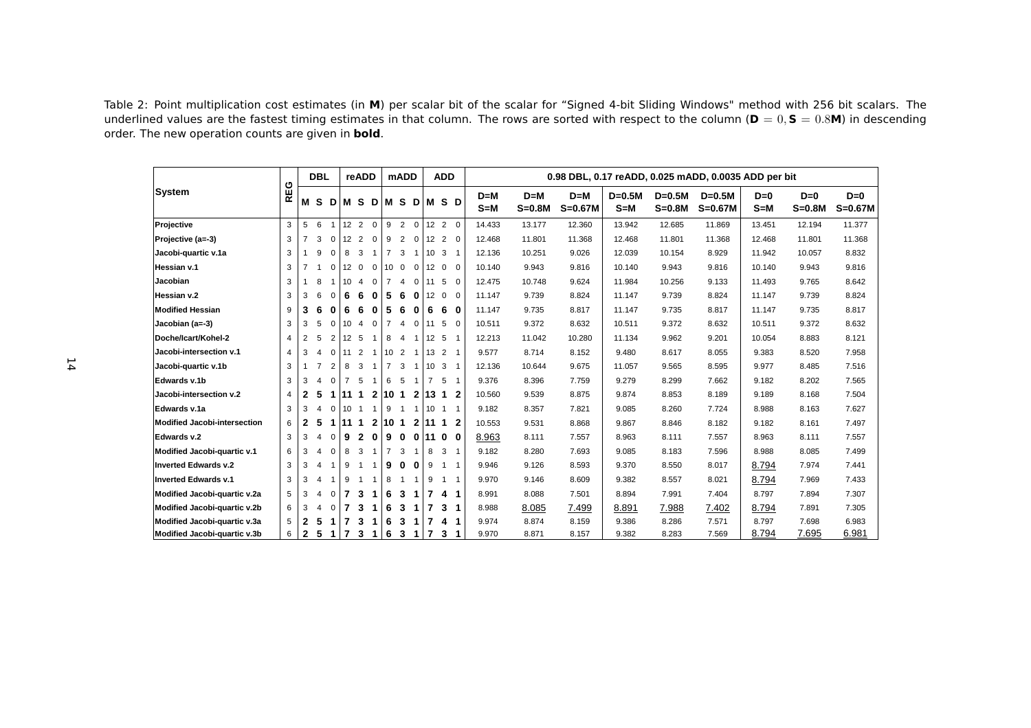Table 2: Point multiplication cost estimates (in **<sup>M</sup>**) per scalar bit of the scalar for "Signed 4-bit Sliding Windows" method with <sup>256</sup> bit scalars. The underlined values are the fastest timing estimates in that column. The rows are sorted with respect to the column (**<sup>D</sup>** <sup>=</sup> <sup>0</sup>, **<sup>S</sup>** <sup>=</sup> <sup>0</sup>.8**M**) in descending order. The new operation counts are given in **bold**.

| <b>DBL</b>                          |                |                |                |                |                 | reADD          |                | <b>mADD</b>     |                | <b>ADD</b>              |                 |                      | 0.98 DBL, 0.17 reADD, 0.025 mADD, 0.0035 ADD per bit |                  |                   |                    |                     |                      |                       |                  |                   |                    |
|-------------------------------------|----------------|----------------|----------------|----------------|-----------------|----------------|----------------|-----------------|----------------|-------------------------|-----------------|----------------------|------------------------------------------------------|------------------|-------------------|--------------------|---------------------|----------------------|-----------------------|------------------|-------------------|--------------------|
| <b>System</b>                       | <b>REG</b>     | М              | <b>S</b>       | D              |                 | M S            | D I            |                 |                | <b>MSD</b>              |                 | IM S D               |                                                      | $D=M$<br>$S = M$ | $D=M$<br>$S=0.8M$ | $D=M$<br>$S=0.67M$ | $D=0.5M$<br>$S = M$ | $D=0.5M$<br>$S=0.8M$ | $D=0.5M$<br>$S=0.67M$ | $D=0$<br>$S = M$ | $D=0$<br>$S=0.8M$ | $D=0$<br>$S=0.67M$ |
| Projective                          | 3              | 5              | 6              |                |                 | $12 \quad 2$   | $\mathbf{0}$   | 9               | 2              | $\mathbf 0$             |                 | $12 \quad 2 \quad 0$ |                                                      | 14.433           | 13.177            | 12.360             | 13.942              | 12.685               | 11.869                | 13.451           | 12.194            | 11.377             |
| Projective (a=-3)                   | 3              | $\overline{7}$ | 3              | $\mathbf 0$    | 12              | $\overline{2}$ | $\mathbf{0}$   | 9               | 2              | $\mathbf 0$             | 12              | 2                    | $\Omega$                                             | 12.468           | 11.801            | 11.368             | 12.468              | 11.801               | 11.368                | 12.468           | 11.801            | 11.368             |
| Jacobi-quartic v.1a                 | 3              |                | 9              | $\Omega$       | 8               | 3              | $\mathbf{1}$   | $\overline{7}$  | 3              | $\overline{\mathbf{1}}$ | 10 <sup>°</sup> | 3                    | -1                                                   | 12.136           | 10.251            | 9.026              | 12.039              | 10.154               | 8.929                 | 11.942           | 10.057            | 8.832              |
| Hessian v.1                         | 3              | 7              | $\overline{1}$ | 0              | 12 <sup>2</sup> | $\overline{0}$ | $\mathbf{0}$   | 10 <sup>°</sup> | $\overline{0}$ | $\mathbf{0}$            | 12              | $\mathbf{0}$         | $\Omega$                                             | 10.140           | 9.943             | 9.816              | 10.140              | 9.943                | 9.816                 | 10.140           | 9.943             | 9.816              |
| Jacobian                            | 3              |                | 8              |                | 10              | $\overline{4}$ | $\overline{0}$ | $\overline{7}$  | $\overline{4}$ | $\mathbf 0$             | 11              | 5                    | $\Omega$                                             | 12.475           | 10.748            | 9.624              | 11.984              | 10.256               | 9.133                 | 11.493           | 9.765             | 8.642              |
| Hessian v.2                         | 3              | 3              | 6              | $\Omega$       | 6               | 6              | $\bf{0}$       | 5               | 6              | 0                       | 12              | $\Omega$             | $\Omega$                                             | 11.147           | 9.739             | 8.824              | 11.147              | 9.739                | 8.824                 | 11.147           | 9.739             | 8.824              |
| <b>Modified Hessian</b>             | 9              | 3              | 6              | $\bf{0}$       | 6               | 6              | $\bf{0}$       | 5               | 6              | 0                       | 6               | 6                    | 0                                                    | 11.147           | 9.735             | 8.817              | 11.147              | 9.735                | 8.817                 | 11.147           | 9.735             | 8.817              |
| Jacobian (a=-3)                     | 3              | 3              | 5              | $\mathbf 0$    | 10              | $\overline{4}$ | $\overline{0}$ | $\overline{7}$  | $\overline{4}$ | $\mathbf 0$             | 11              | 5                    | $\overline{0}$                                       | 10.511           | 9.372             | 8.632              | 10.511              | 9.372                | 8.632                 | 10.511           | 9.372             | 8.632              |
| Doche/Icart/Kohel-2                 | $\overline{4}$ | 2              | 5              | 2              | 12 <sub>5</sub> |                | $\mathbf{1}$   | 8               | $\overline{4}$ | $\overline{1}$          | 12              | - 5                  |                                                      | 12.213           | 11.042            | 10.280             | 11.134              | 9.962                | 9.201                 | 10.054           | 8.883             | 8.121              |
| Jacobi-intersection v.1             | 4              | 3              | 4              | $\mathbf 0$    | 11              | $\overline{2}$ | -1             | 10 <sup>°</sup> | 2              | -1                      | 13              | 2 <sub>1</sub>       |                                                      | 9.577            | 8.714             | 8.152              | 9.480               | 8.617                | 8.055                 | 9.383            | 8.520             | 7.958              |
| Jacobi-quartic v.1b                 | 3              |                | $\overline{7}$ | $\overline{2}$ | 8               | 3              | -1             | $\overline{7}$  | 3              | -1                      | 10              | 3 1                  |                                                      | 12.136           | 10.644            | 9.675              | 11.057              | 9.565                | 8.595                 | 9.977            | 8.485             | 7.516              |
| Edwards v.1b                        | 3              | 3              | 4              | $\Omega$       | $\overline{7}$  | 5              | -1             | 6               | 5              | -1                      | $\overline{7}$  | 5                    | $\overline{1}$                                       | 9.376            | 8.396             | 7.759              | 9.279               | 8.299                | 7.662                 | 9.182            | 8.202             | 7.565              |
| Jacobi-intersection v.2             | $\overline{4}$ | $\mathbf{2}$   | 5              | 1.             | $111$           |                |                | 2 10 1          |                |                         |                 | 2 13 1               | -2                                                   | 10.560           | 9.539             | 8.875              | 9.874               | 8.853                | 8.189                 | 9.189            | 8.168             | 7.504              |
| Edwards v.1a                        | 3              | 3              | $\overline{a}$ | $\Omega$       | 10              | -1             | $\mathbf{1}$   | 9               | $\mathbf{1}$   | $\overline{\mathbf{1}}$ | 10              | -1                   | -1                                                   | 9.182            | 8.357             | 7.821              | 9.085               | 8.260                | 7.724                 | 8.988            | 8.163             | 7.627              |
| <b>Modified Jacobi-intersection</b> | 6              | 2              | 5              | 1              | 11              | $\overline{1}$ |                | 2110            | $\mathbf{1}$   | $\mathbf{2}$            | 11              | 1                    | 2                                                    | 10.553           | 9.531             | 8.868              | 9.867               | 8.846                | 8.182                 | 9.182            | 8.161             | 7.497              |
| Edwards v.2                         | 3              | 3              | $\overline{4}$ | $\Omega$       | 9               | $\overline{2}$ | $\bf{0}$       | 9               | 0              | $\mathbf 0$             | 11              | $\mathbf{0}$         | $\mathbf{0}$                                         | 8.963            | 8.111             | 7.557              | 8.963               | 8.111                | 7.557                 | 8.963            | 8.111             | 7.557              |
| Modified Jacobi-quartic v.1         | 6              | 3              | 4              | $\Omega$       | 8               | 3              | $\mathbf{1}$   | $\overline{7}$  | 3              | -1                      | 8               | 3                    | -1                                                   | 9.182            | 8.280             | 7.693              | 9.085               | 8.183                | 7.596                 | 8.988            | 8.085             | 7.499              |
| <b>Inverted Edwards v.2</b>         | 3              | 3              | 4              |                | 9               | -1             | -1             | 9               | 0              | 0                       | 9               | -1                   | $\overline{\phantom{a}}$                             | 9.946            | 9.126             | 8.593              | 9.370               | 8.550                | 8.017                 | 8.794            | 7.974             | 7.441              |
| <b>Inverted Edwards v.1</b>         | 3              | 3              | 4              |                | 9               | -1             | $\mathbf{1}$   | 8               | $\mathbf{1}$   | -1                      | 9               | -1                   | $\overline{\phantom{a}}$                             | 9.970            | 9.146             | 8.609              | 9.382               | 8.557                | 8.021                 | 8.794            | 7.969             | 7.433              |
| Modified Jacobi-quartic v.2a        | 5              | 3              | 4              | $\Omega$       | 7               | 3              | 1              | 6               | 3              | -1                      | 7               | 4                    | -1                                                   | 8.991            | 8.088             | 7.501              | 8.894               | 7.991                | 7.404                 | 8.797            | 7.894             | 7.307              |
| Modified Jacobi-quartic v.2b        | 6              | 3              | 4              | $\Omega$       | 7               | 3              | 1              | 6               | 3              | -1                      | 7               | 3                    | -1                                                   | 8.988            | 8.085             | 7.499              | 8.891               | 7.988                | 7.402                 | 8.794            | 7.891             | 7.305              |
| Modified Jacobi-quartic v.3a        | 5              | 2              | 5              |                | 7               | 3              |                | 6               | 3              | 1                       | 7               | 4                    | 1                                                    | 9.974            | 8.874             | 8.159              | 9.386               | 8.286                | 7.571                 | 8.797            | 7.698             | 6.983              |
| Modified Jacobi-quartic v.3b        | 6              | 2              | 5              | 1              | $\overline{7}$  | 3              | 1              | 6               | 3              | 1                       | $\overline{7}$  | 3                    | 1                                                    | 9.970            | 8.871             | 8.157              | 9.382               | 8.283                | 7.569                 | 8.794            | 7.695             | 6.981              |